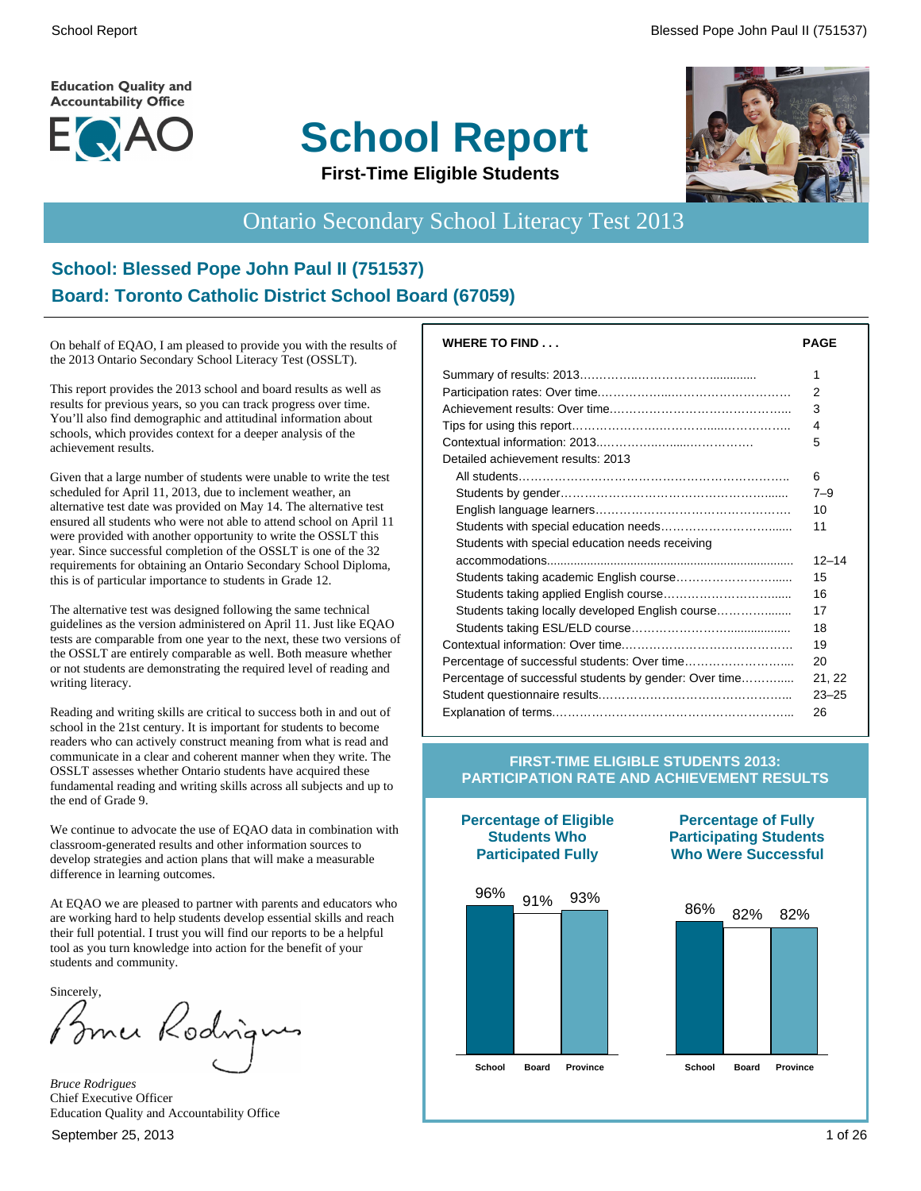**Education Quality and Accountability Office** 



# **School Report**



**First-Time Eligible Students**

# Ontario Secondary School Literacy Test 2013

#### **School: Blessed Pope John Paul II (751537) Board: Toronto Catholic District School Board (67059)**

On behalf of EQAO, I am pleased to provide you with the results of the 2013 Ontario Secondary School Literacy Test (OSSLT).

This report provides the 2013 school and board results as well as results for previous years, so you can track progress over time. You'll also find demographic and attitudinal information about schools, which provides context for a deeper analysis of the achievement results.

Given that a large number of students were unable to write the test scheduled for April 11, 2013, due to inclement weather, an alternative test date was provided on May 14. The alternative test ensured all students who were not able to attend school on April 11 were provided with another opportunity to write the OSSLT this year. Since successful completion of the OSSLT is one of the 32 requirements for obtaining an Ontario Secondary School Diploma, this is of particular importance to students in Grade 12.

The alternative test was designed following the same technical guidelines as the version administered on April 11. Just like EQAO tests are comparable from one year to the next, these two versions of the OSSLT are entirely comparable as well. Both measure whether or not students are demonstrating the required level of reading and writing literacy.

Reading and writing skills are critical to success both in and out of school in the 21st century. It is important for students to become readers who can actively construct meaning from what is read and communicate in a clear and coherent manner when they write. The OSSLT assesses whether Ontario students have acquired these fundamental reading and writing skills across all subjects and up to the end of Grade 9.

We continue to advocate the use of EOAO data in combination with classroom-generated results and other information sources to develop strategies and action plans that will make a measurable difference in learning outcomes.

At EQAO we are pleased to partner with parents and educators who are working hard to help students develop essential skills and reach their full potential. I trust you will find our reports to be a helpful tool as you turn knowledge into action for the benefit of your students and community.

Sincerely,

Imce Kodnigu

*Bruce Rodrigues* Chief Executive Officer Education Quality and Accountability Office

| <b>WHERE TO FIND</b>                                   | <b>PAGE</b> |  |  |  |  |
|--------------------------------------------------------|-------------|--|--|--|--|
|                                                        | 1           |  |  |  |  |
|                                                        |             |  |  |  |  |
|                                                        | 3           |  |  |  |  |
|                                                        | 4           |  |  |  |  |
|                                                        | 5           |  |  |  |  |
| Detailed achievement results: 2013                     |             |  |  |  |  |
|                                                        | 6           |  |  |  |  |
|                                                        | $7 - 9$     |  |  |  |  |
|                                                        | 10          |  |  |  |  |
|                                                        | 11          |  |  |  |  |
| Students with special education needs receiving        |             |  |  |  |  |
|                                                        | $12 - 14$   |  |  |  |  |
| Students taking academic English course                | 15          |  |  |  |  |
|                                                        | 16          |  |  |  |  |
| Students taking locally developed English course       | 17          |  |  |  |  |
|                                                        | 18          |  |  |  |  |
|                                                        | 19          |  |  |  |  |
|                                                        | 20          |  |  |  |  |
| Percentage of successful students by gender: Over time | 21, 22      |  |  |  |  |
|                                                        | $23 - 25$   |  |  |  |  |
|                                                        | 26          |  |  |  |  |

#### **FIRST-TIME ELIGIBLE STUDENTS 2013: PARTICIPATION RATE AND ACHIEVEMENT RESULTS**



**Percentage of Eligible Students Who**

**Percentage of Fully Participating Students Who Were Successful**

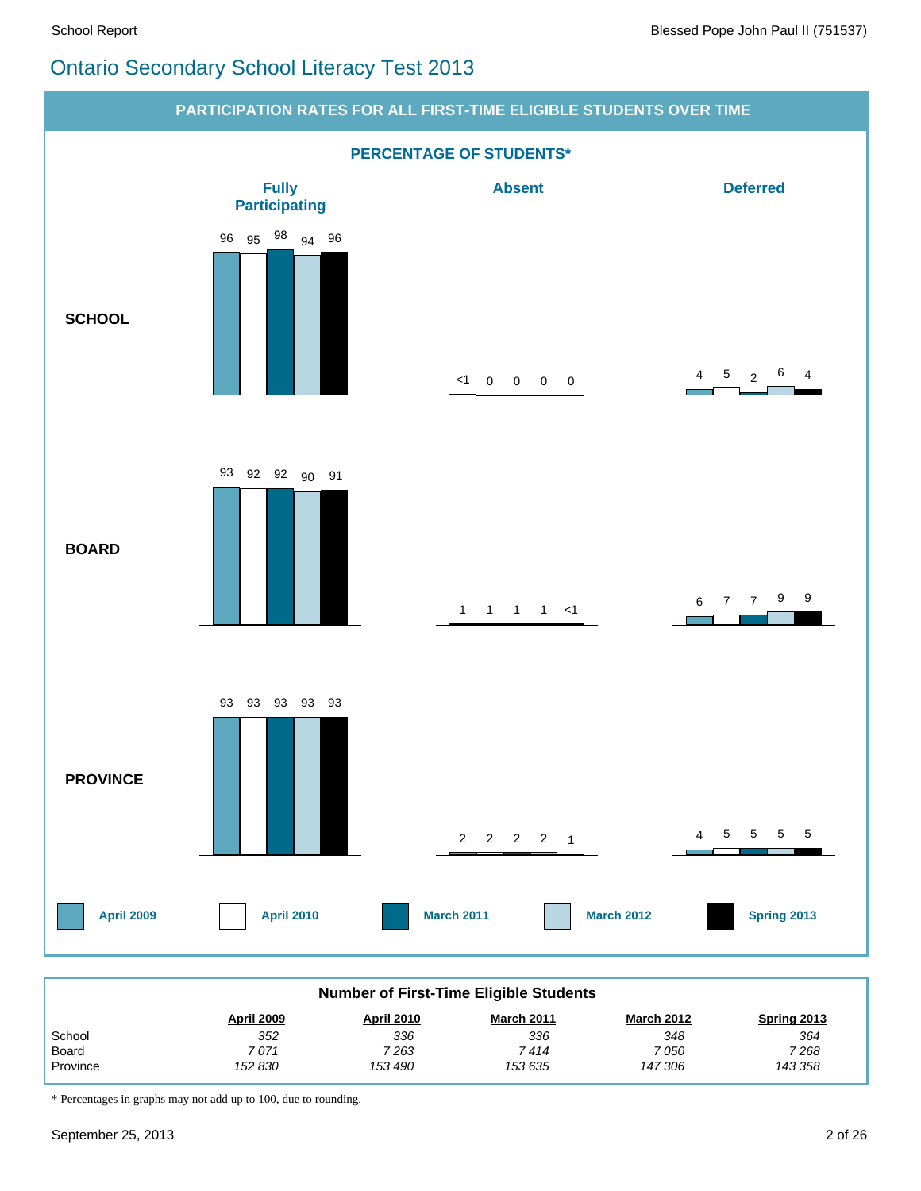#### Ontario Secondary School Literacy Test 2013



| <b>Number of First-Time Eligible Students</b>                                                   |         |         |         |         |         |  |  |  |  |
|-------------------------------------------------------------------------------------------------|---------|---------|---------|---------|---------|--|--|--|--|
| <b>March 2012</b><br><b>April 2009</b><br><b>March 2011</b><br>Spring 2013<br><b>April 2010</b> |         |         |         |         |         |  |  |  |  |
| School                                                                                          | 352     | 336     | 336     | 348     | 364     |  |  |  |  |
| Board                                                                                           | 7 071   | 7 263   | 7 414   | 7 050   | 7 268   |  |  |  |  |
| Province                                                                                        | 152 830 | 153 490 | 153 635 | 147 306 | 143 358 |  |  |  |  |

\* Percentages in graphs may not add up to 100, due to rounding.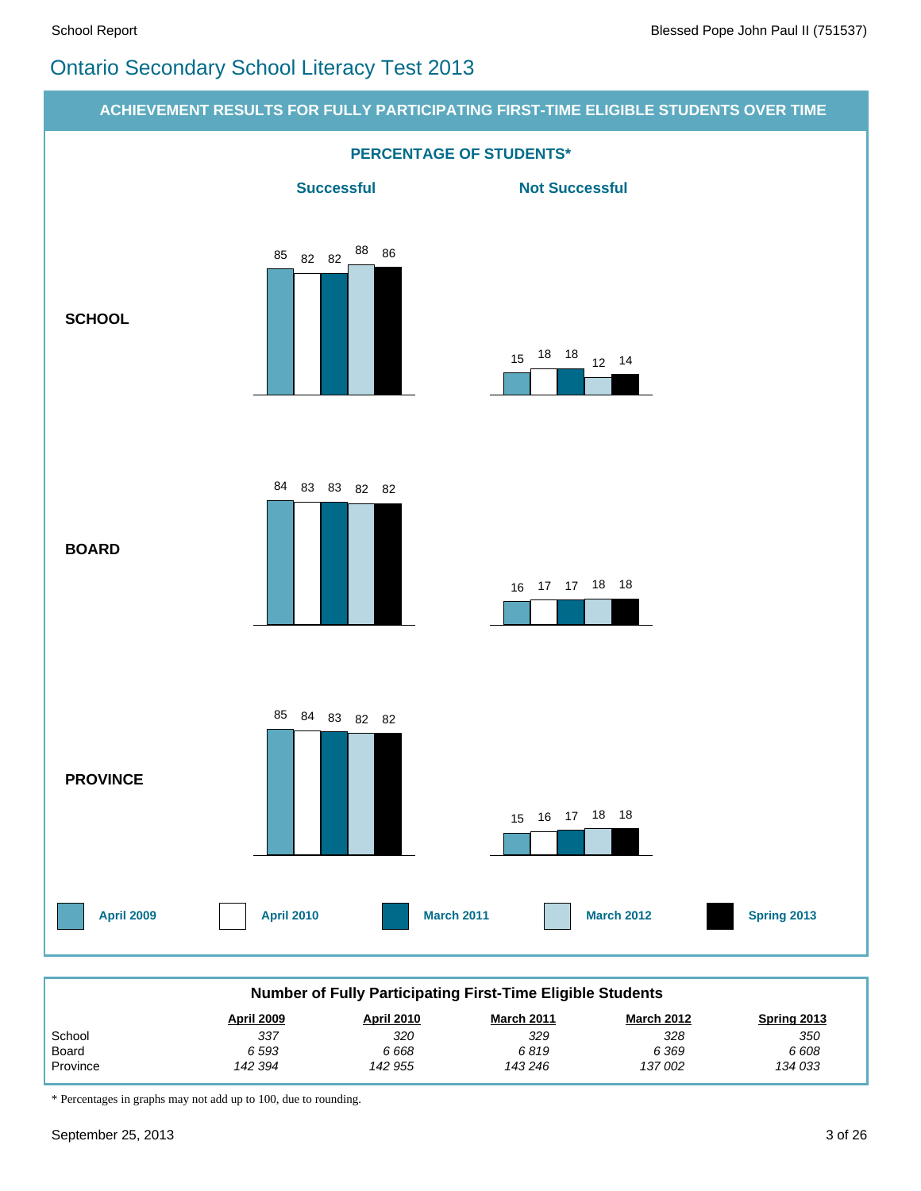# Ontario Secondary School Literacy Test 2013



\* Percentages in graphs may not add up to 100, due to rounding.

 *142 394*

 *142 955*

 *143 246*

 *137 002*

Province

 *134 033*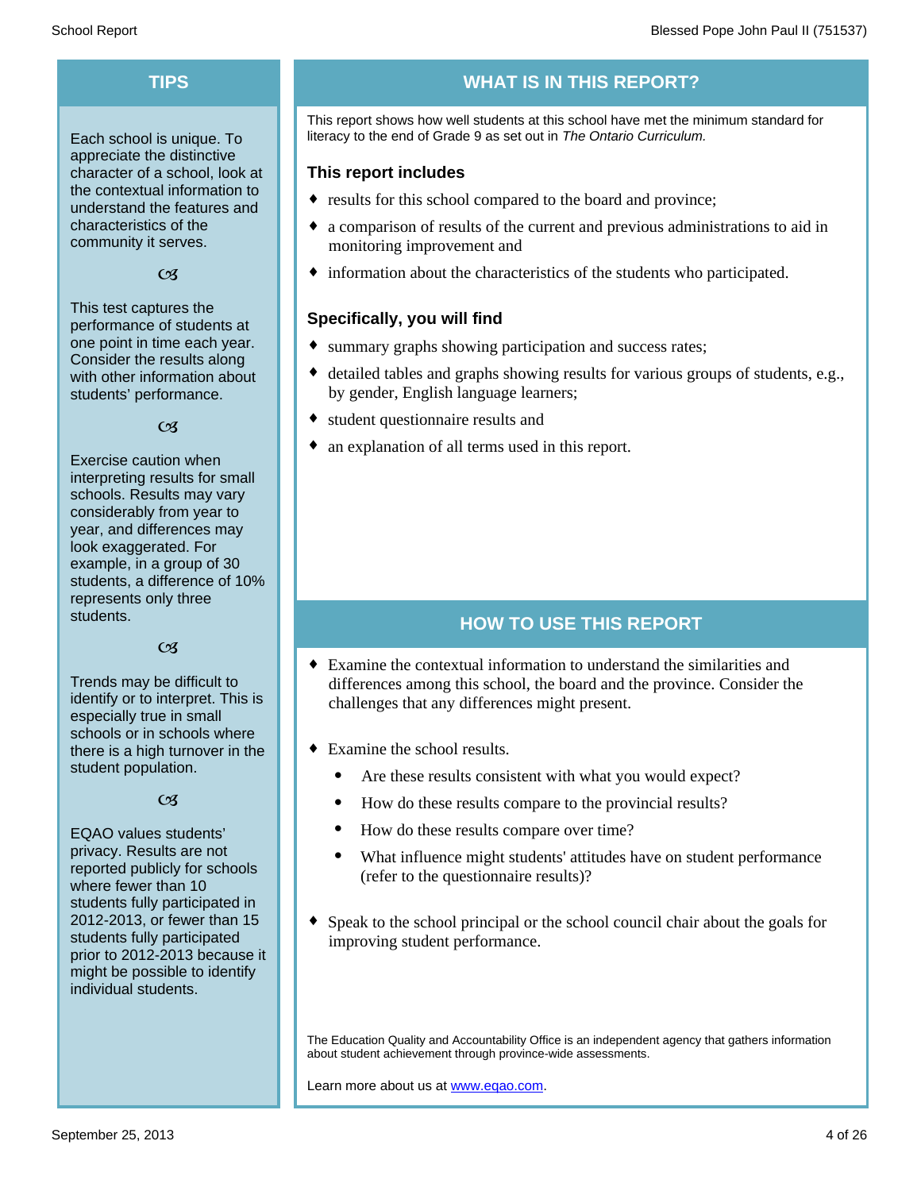Each school is unique. To appreciate the distinctive character of a school, look at the contextual information to understand the features and characteristics of the community it serves.

#### $C<sub>3</sub>$

This test captures the performance of students at one point in time each year. Consider the results along with other information about students' performance.

#### $\alpha$

Exercise caution when interpreting results for small schools. Results may vary considerably from year to year, and differences may look exaggerated. For example, in a group of 30 students, a difference of 10% represents only three students.

#### $C<sub>3</sub>$

Trends may be difficult to identify or to interpret. This is especially true in small schools or in schools where there is a high turnover in the student population.

#### $\alpha$

EQAO values students' privacy. Results are not reported publicly for schools where fewer than 10 students fully participated in 2012-2013, or fewer than 15 students fully participated prior to 2012-2013 because it might be possible to identify individual students.

#### **TIPS WHAT IS IN THIS REPORT?**

This report shows how well students at this school have met the minimum standard for literacy to the end of Grade 9 as set out in *The Ontario Curriculum.*

#### **This report includes**

- results for this school compared to the board and province;
- a comparison of results of the current and previous administrations to aid in monitoring improvement and
- $\bullet$  information about the characteristics of the students who participated.

#### **Specifically, you will find**

- summary graphs showing participation and success rates;
- $\bullet$  detailed tables and graphs showing results for various groups of students, e.g., by gender, English language learners;
- student questionnaire results and
- an explanation of all terms used in this report.

#### **HOW TO USE THIS REPORT**

- $\bullet$  Examine the contextual information to understand the similarities and differences among this school, the board and the province. Consider the challenges that any differences might present.
- $\bullet$  Examine the school results.
	- Are these results consistent with what you would expect?
	- · How do these results compare to the provincial results?
	- How do these results compare over time?
	- · What influence might students' attitudes have on student performance (refer to the questionnaire results)?
- $\bullet$  Speak to the school principal or the school council chair about the goals for improving student performance.

The Education Quality and Accountability Office is an independent agency that gathers information about student achievement through province-wide assessments.

Learn more about us at www.eqao.com.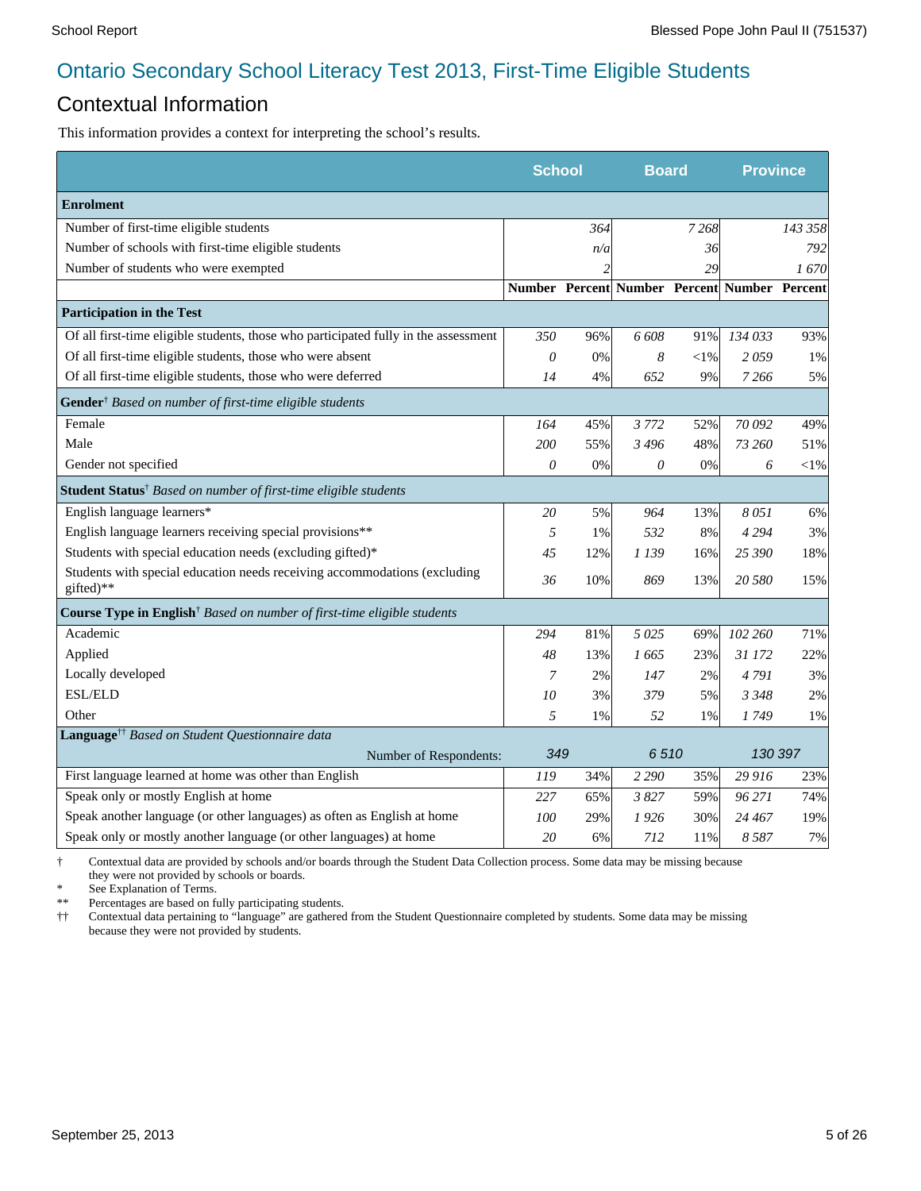#### Contextual Information

This information provides a context for interpreting the school's results.

|                                                                                        |          | <b>School</b><br><b>Board</b> |                                              |        | <b>Province</b> |         |
|----------------------------------------------------------------------------------------|----------|-------------------------------|----------------------------------------------|--------|-----------------|---------|
| <b>Enrolment</b>                                                                       |          |                               |                                              |        |                 |         |
| Number of first-time eligible students                                                 |          | 364                           |                                              | 7268   |                 | 143 358 |
| Number of schools with first-time eligible students                                    |          | n/a                           |                                              | 36     |                 | 792     |
| Number of students who were exempted                                                   |          |                               |                                              | 29     |                 | 1670    |
|                                                                                        |          |                               | Number Percent Number Percent Number Percent |        |                 |         |
| <b>Participation in the Test</b>                                                       |          |                               |                                              |        |                 |         |
| Of all first-time eligible students, those who participated fully in the assessment    | 350      | 96%                           | 6 608                                        | 91%    | 134 033         | 93%     |
| Of all first-time eligible students, those who were absent                             | $\theta$ | 0%                            | 8                                            | $<$ l% | 2059            | 1%      |
| Of all first-time eligible students, those who were deferred                           | 14       | 4%                            | 652                                          | 9%     | 7 2 6 6         | 5%      |
| Gender <sup>†</sup> Based on number of first-time eligible students                    |          |                               |                                              |        |                 |         |
| Female                                                                                 | 164      | 45%                           | 3 7 7 2                                      | 52%    | 70 092          | 49%     |
| Male                                                                                   | 200      | 55%                           | 3496                                         | 48%    | 73 260          | 51%     |
| Gender not specified                                                                   | $\theta$ | 0%                            | 0                                            | 0%     | 6               | $<$ 1%  |
| <b>Student Status</b> <sup>†</sup> Based on number of first-time eligible students     |          |                               |                                              |        |                 |         |
| English language learners*                                                             | 20       | 5%                            | 964                                          | 13%    | 8051            | 6%      |
| English language learners receiving special provisions**                               | 5        | 1%                            | 532                                          | 8%     | 4 2 9 4         | 3%      |
| Students with special education needs (excluding gifted)*                              | 45       | 12%                           | 1 139                                        | 16%    | 25 390          | 18%     |
| Students with special education needs receiving accommodations (excluding<br>gifted)** | 36       | 10%                           | 869                                          | 13%    | 20 580          | 15%     |
| Course Type in English <sup>†</sup> Based on number of first-time eligible students    |          |                               |                                              |        |                 |         |
| Academic                                                                               | 294      | 81%                           | 5025                                         | 69%    | 102 260         | 71%     |
| Applied                                                                                | 48       | 13%                           | 1 665                                        | 23%    | 31 172          | 22%     |
| Locally developed                                                                      | 7        | 2%                            | 147                                          | 2%     | 4791            | 3%      |
| <b>ESL/ELD</b>                                                                         | 10       | 3%                            | 379                                          | 5%     | 3 3 4 8         | 2%      |
| Other                                                                                  | 5        | 1%                            | 52                                           | 1%     | 1749            | 1%      |
| Language <sup>††</sup> Based on Student Questionnaire data                             |          |                               |                                              |        |                 |         |
| Number of Respondents:                                                                 | 349      |                               | 6510                                         |        | 130 397         |         |
| First language learned at home was other than English                                  | 119      | 34%                           | 2 2 9 0                                      | 35%    | 29 916          | 23%     |
| Speak only or mostly English at home                                                   | 227      | 65%                           | 3827                                         | 59%    | 96 271          | 74%     |
| Speak another language (or other languages) as often as English at home                | 100      | 29%                           | 1926                                         | 30%    | 24 467          | 19%     |
| Speak only or mostly another language (or other languages) at home                     | 20       | 6%                            | 712                                          | 11%    | 8587            | 7%      |

† Contextual data are provided by schools and/or boards through the Student Data Collection process. Some data may be missing because they were not provided by schools or boards.

\* See Explanation of Terms.<br>\*\* Percentages are based on fix

\*\* Percentages are based on fully participating students.<br>  $\dagger\dagger$  Contextual data pertaining to "language" are gathered

†† Contextual data pertaining to "language" are gathered from the Student Questionnaire completed by students. Some data may be missing because they were not provided by students.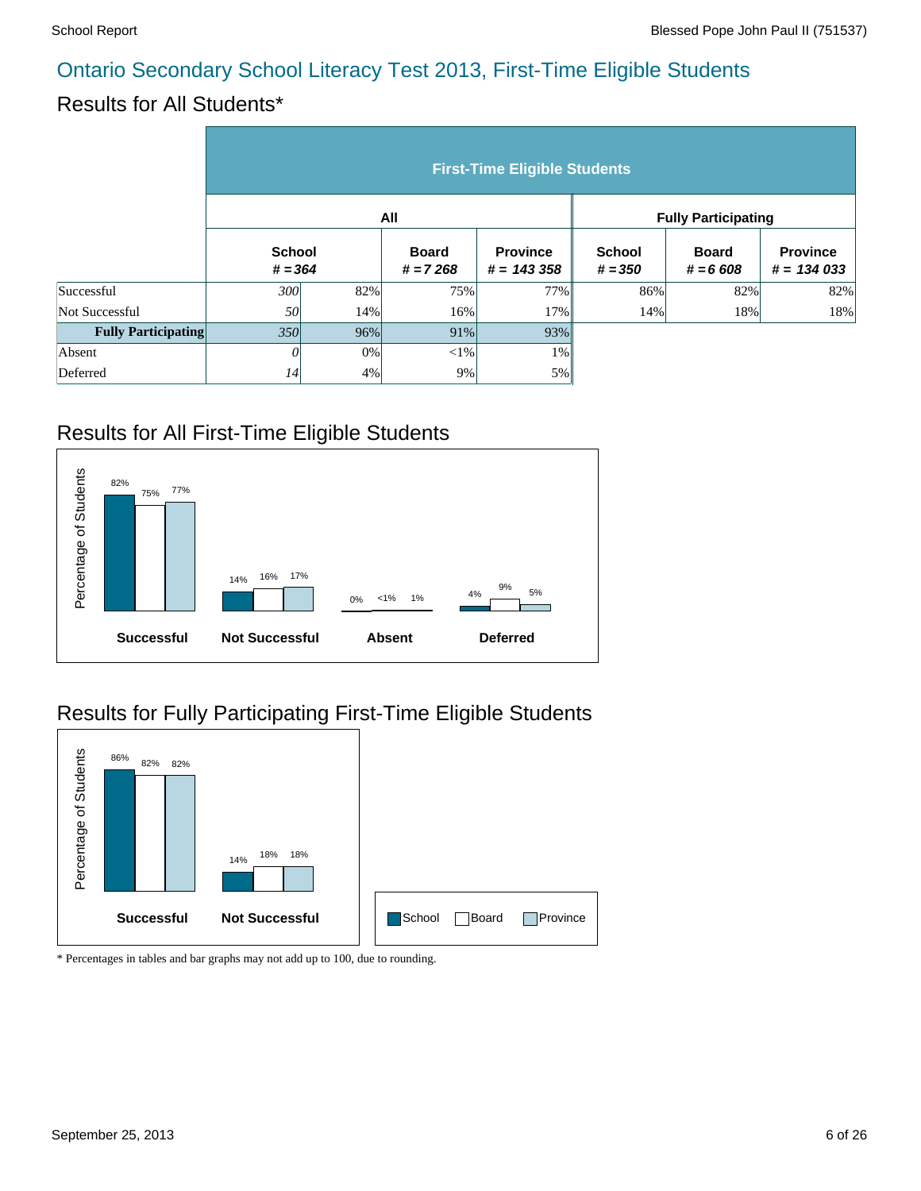#### Results for All Students\*

|                            | <b>First-Time Eligible Students</b> |     |                            |                                 |                            |                            |                                 |  |  |  |
|----------------------------|-------------------------------------|-----|----------------------------|---------------------------------|----------------------------|----------------------------|---------------------------------|--|--|--|
|                            |                                     |     | All                        |                                 | <b>Fully Participating</b> |                            |                                 |  |  |  |
|                            | <b>School</b><br>$# = 364$          |     | <b>Board</b><br>$# = 7268$ | <b>Province</b><br>$# = 143358$ | <b>School</b><br>$# = 350$ | <b>Board</b><br>$# = 6608$ | <b>Province</b><br>$# = 134033$ |  |  |  |
| Successful                 | 300                                 | 82% | 75%                        | 77%                             | 86%                        | 82%                        | 82%                             |  |  |  |
| Not Successful             | 50                                  | 14% | 16%                        | 17%                             | 14%                        | 18%                        | 18%                             |  |  |  |
| <b>Fully Participating</b> | 350                                 | 96% | 91%                        | 93%                             |                            |                            |                                 |  |  |  |
| Absent                     | 0                                   | 0%  | $<$ 1%                     | 1%                              |                            |                            |                                 |  |  |  |
| Deferred                   | 14                                  | 4%  | 9%                         | 5%                              |                            |                            |                                 |  |  |  |

#### Results for All First-Time Eligible Students



### Results for Fully Participating First-Time Eligible Students

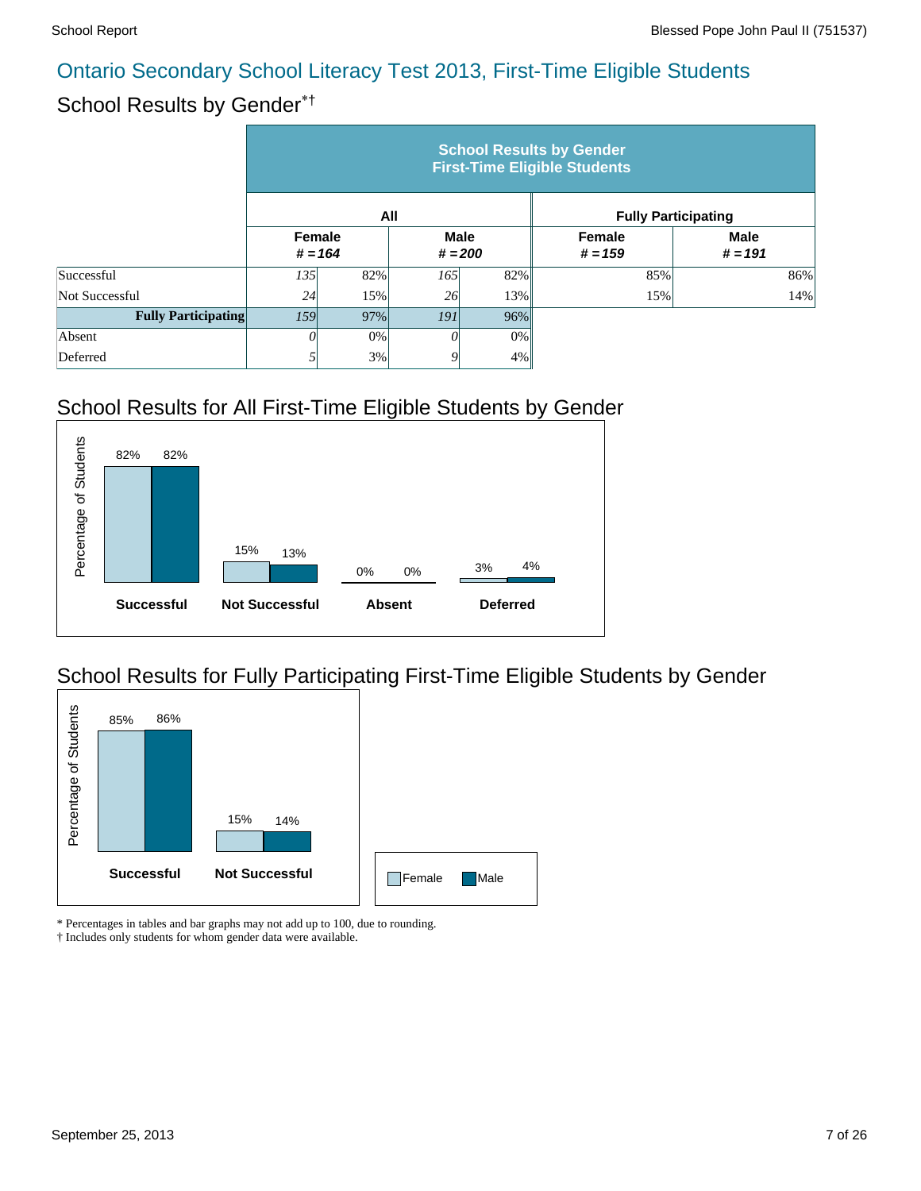# School Results by Gender\*†

|                            | <b>School Results by Gender</b><br><b>First-Time Eligible Students</b> |           |                          |        |                     |                            |  |  |  |  |
|----------------------------|------------------------------------------------------------------------|-----------|--------------------------|--------|---------------------|----------------------------|--|--|--|--|
|                            |                                                                        |           | All                      |        |                     | <b>Fully Participating</b> |  |  |  |  |
|                            | <b>Female</b>                                                          | $# = 164$ | <b>Male</b><br>$# = 200$ |        | Female<br>$# = 159$ | <b>Male</b><br>$# = 191$   |  |  |  |  |
| Successful                 | 135                                                                    | 82%       | 165                      | 82%    | 85%                 | 86%                        |  |  |  |  |
| Not Successful             | 24                                                                     | 15%       | 26                       | 13%    | 15%                 | 14%                        |  |  |  |  |
| <b>Fully Participating</b> | 159                                                                    | 97%       | <i>191</i>               | $96\%$ |                     |                            |  |  |  |  |
| Absent                     |                                                                        | 0%        |                          | $0\%$  |                     |                            |  |  |  |  |
| Deferred                   |                                                                        | 3%        |                          | 4%     |                     |                            |  |  |  |  |

# School Results for All First-Time Eligible Students by Gender



### School Results for Fully Participating First-Time Eligible Students by Gender



\* Percentages in tables and bar graphs may not add up to 100, due to rounding.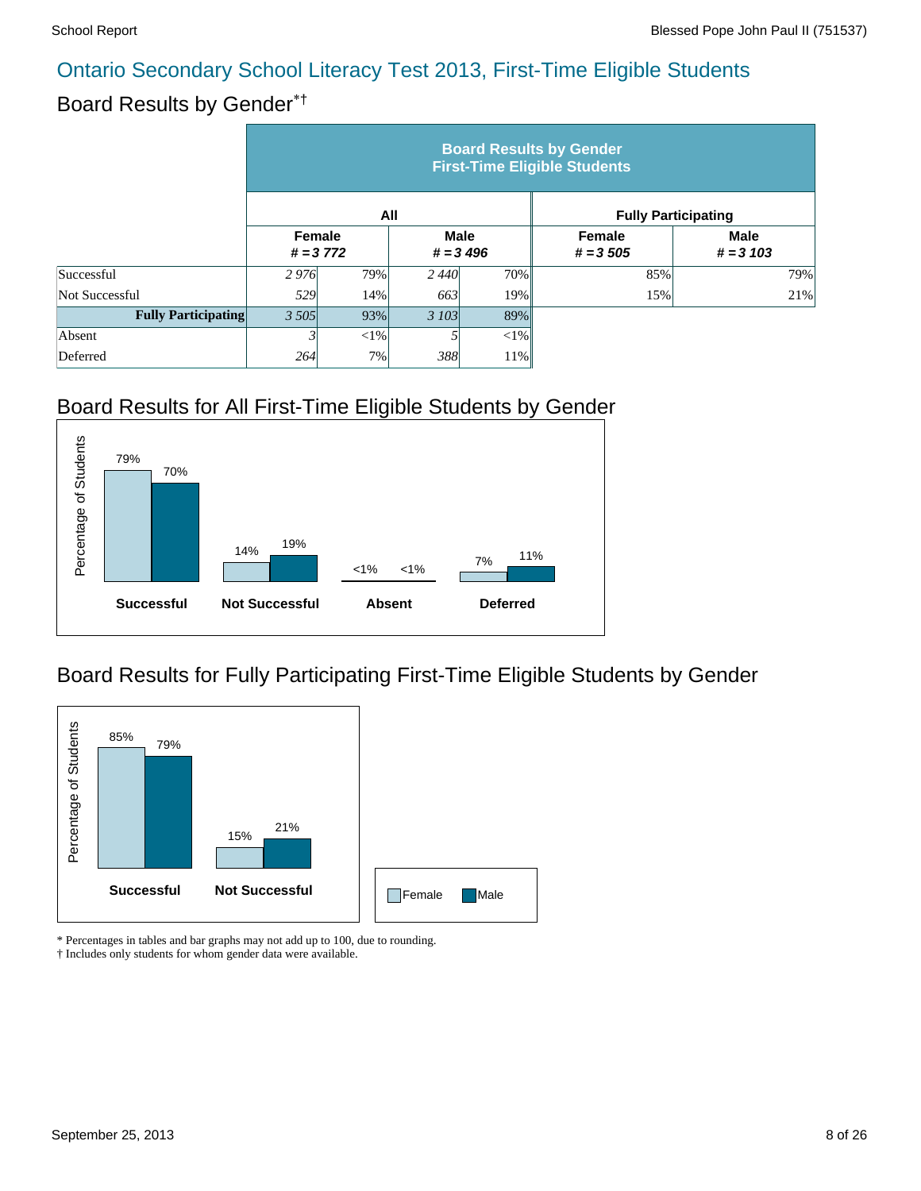### Board Results by Gender\*†

|                            | <b>Board Results by Gender</b><br><b>First-Time Eligible Students</b> |            |                            |     |                            |                            |  |  |  |  |
|----------------------------|-----------------------------------------------------------------------|------------|----------------------------|-----|----------------------------|----------------------------|--|--|--|--|
|                            |                                                                       | All        |                            |     | <b>Fully Participating</b> |                            |  |  |  |  |
|                            | <b>Female</b>                                                         | $# = 3772$ | <b>Male</b><br>$# = 3,496$ |     | Female<br>$# = 3,505$      | <b>Male</b><br>$# = 3 103$ |  |  |  |  |
| Successful                 | 2976                                                                  | 79%        | 2440                       | 70% | 85%                        | 79%                        |  |  |  |  |
| Not Successful             | 529                                                                   | 14%        | 663                        | 19% | 15%                        | 21%                        |  |  |  |  |
| <b>Fully Participating</b> | 3 5 0 5                                                               | 93%        | 3 103                      | 89% |                            |                            |  |  |  |  |
| Absent                     |                                                                       | $<$ 1%     |                            | <1% |                            |                            |  |  |  |  |
| Deferred                   | 264                                                                   | 7%         | 388                        | 11% |                            |                            |  |  |  |  |

### Board Results for All First-Time Eligible Students by Gender



#### Board Results for Fully Participating First-Time Eligible Students by Gender



\* Percentages in tables and bar graphs may not add up to 100, due to rounding.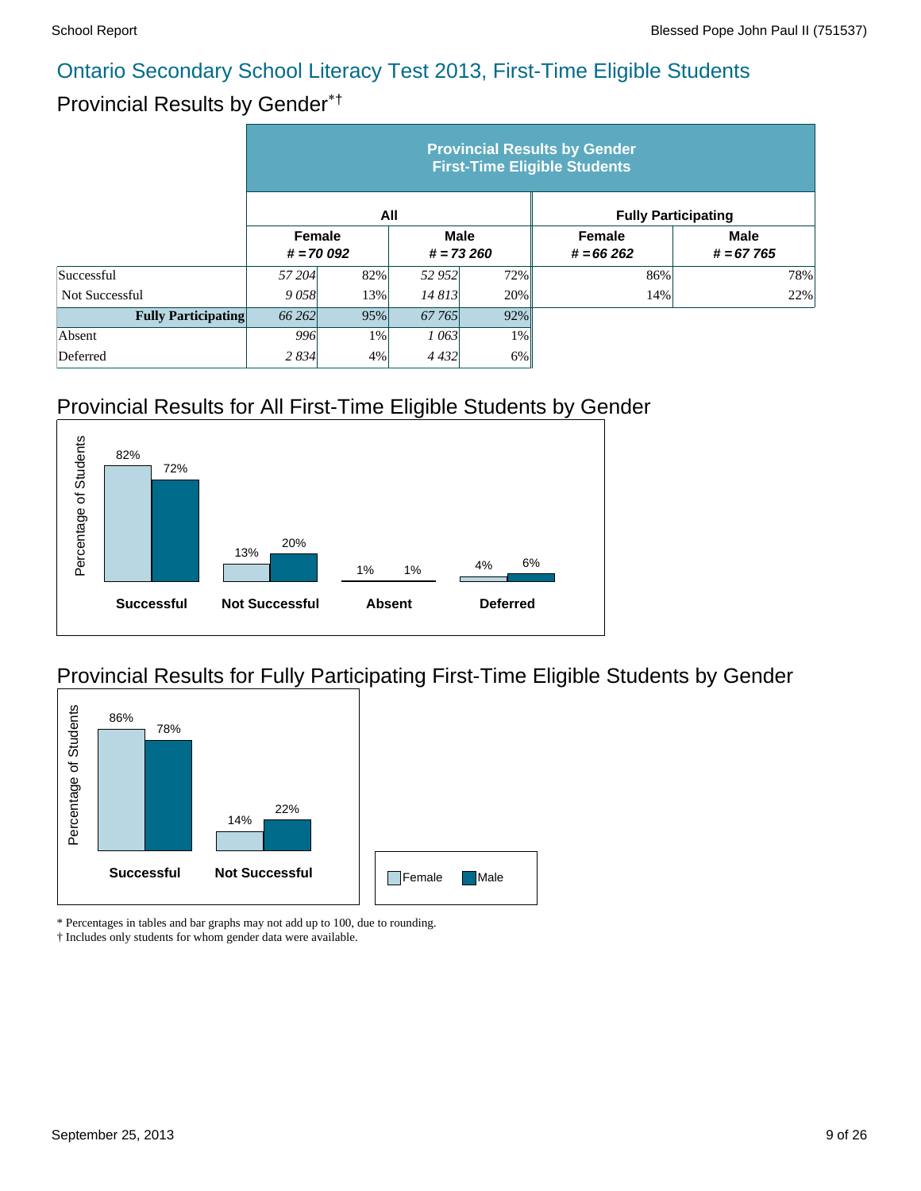### Provincial Results by Gender\*†

|                            | <b>Provincial Results by Gender</b><br><b>First-Time Eligible Students</b> |     |                            |        |                            |                            |  |  |  |  |
|----------------------------|----------------------------------------------------------------------------|-----|----------------------------|--------|----------------------------|----------------------------|--|--|--|--|
|                            |                                                                            |     | All                        |        | <b>Fully Participating</b> |                            |  |  |  |  |
|                            | <b>Female</b><br>$# = 70092$                                               |     | <b>Male</b><br>$# = 73260$ |        | Female<br>$# = 66262$      | <b>Male</b><br>$# = 67765$ |  |  |  |  |
| Successful                 | 57 204                                                                     | 82% | 52 952                     | 72%    | 86%                        | 78%                        |  |  |  |  |
| <b>Not Successful</b>      | 9058                                                                       | 13% | 14 813                     | 20%    | 14%                        | 22%                        |  |  |  |  |
| <b>Fully Participating</b> | 66 262                                                                     | 95% | 67 765                     | $92\%$ |                            |                            |  |  |  |  |
| Absent                     | 996                                                                        | 1%  | 1 063                      | $1\%$  |                            |                            |  |  |  |  |
| Deferred                   | 2 8 3 4                                                                    | 4%  | 4 4 3 2                    | $6\%$  |                            |                            |  |  |  |  |

# Provincial Results for All First-Time Eligible Students by Gender



### Provincial Results for Fully Participating First-Time Eligible Students by Gender



\* Percentages in tables and bar graphs may not add up to 100, due to rounding.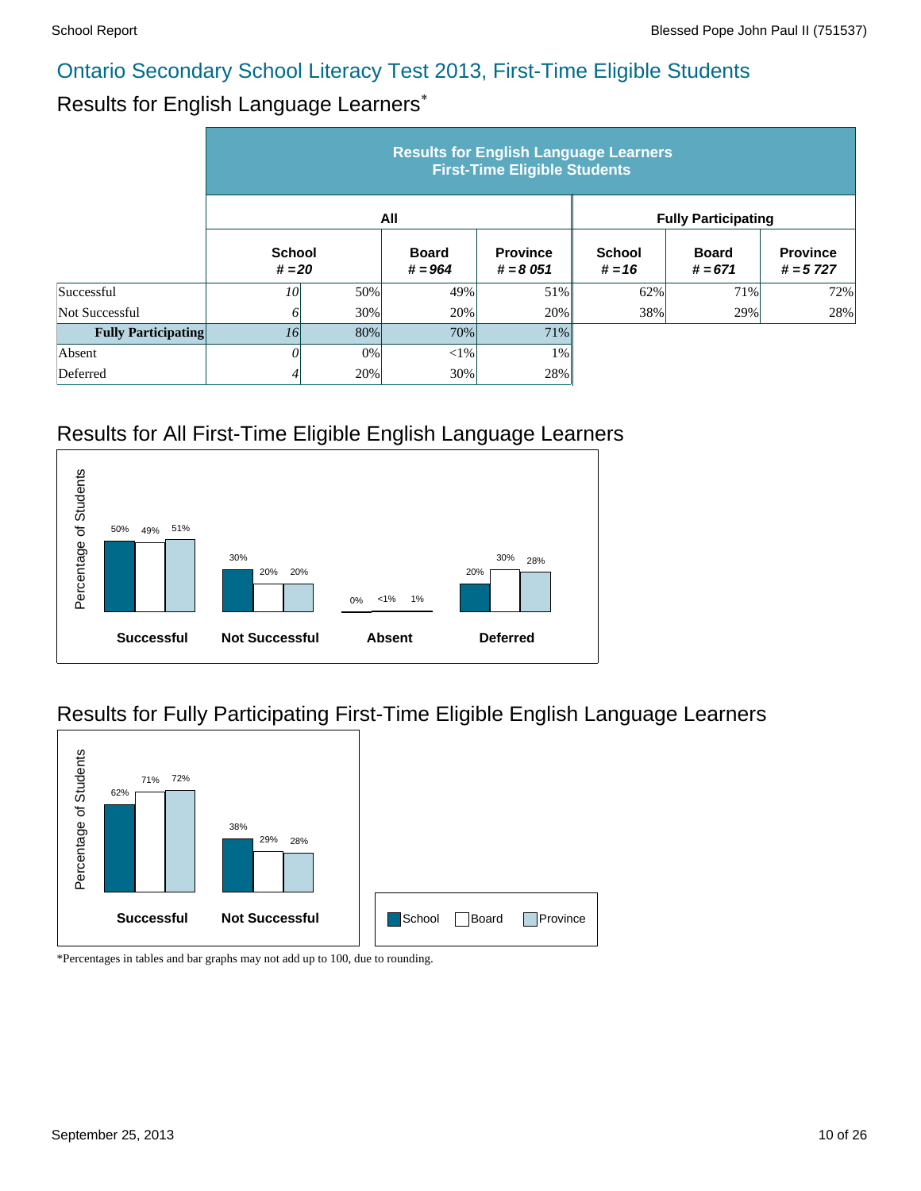### Results for English Language Learners\*

|                            | <b>Results for English Language Learners</b><br><b>First-Time Eligible Students</b> |     |                           |                               |                            |                           |                               |  |  |  |
|----------------------------|-------------------------------------------------------------------------------------|-----|---------------------------|-------------------------------|----------------------------|---------------------------|-------------------------------|--|--|--|
|                            |                                                                                     |     | All                       |                               | <b>Fully Participating</b> |                           |                               |  |  |  |
|                            | <b>School</b><br>$# = 20$                                                           |     | <b>Board</b><br>$# = 964$ | <b>Province</b><br>$# = 8051$ | <b>School</b><br>$# = 16$  | <b>Board</b><br>$# = 671$ | <b>Province</b><br>$# = 5727$ |  |  |  |
| Successful                 | 10                                                                                  | 50% | 49%                       | 51%                           | 62%                        | 71%                       | 72%                           |  |  |  |
| Not Successful             | 0                                                                                   | 30% | 20%                       | 20%                           | 38%                        | 29%                       | 28%                           |  |  |  |
| <b>Fully Participating</b> | <i>16</i>                                                                           | 80% | 70%                       | 71%                           |                            |                           |                               |  |  |  |
| Absent                     | 0                                                                                   | 0%  | ${<}1\%$                  | 1%                            |                            |                           |                               |  |  |  |
| Deferred                   | 4                                                                                   | 20% | 30%                       | 28%                           |                            |                           |                               |  |  |  |

### Results for All First-Time Eligible English Language Learners



### Results for Fully Participating First-Time Eligible English Language Learners

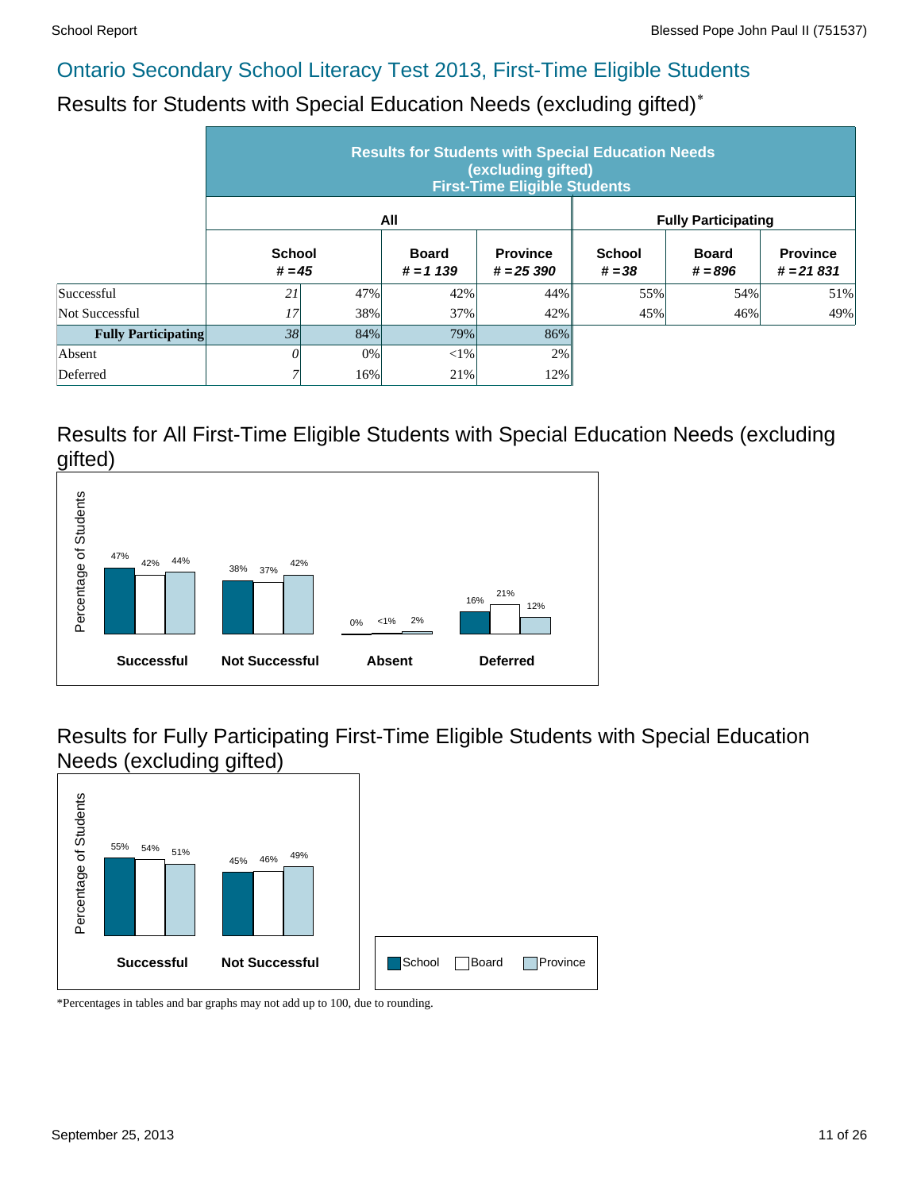Results for Students with Special Education Needs (excluding gifted)\*

|                            | <b>Results for Students with Special Education Needs</b><br>(excluding gifted)<br><b>First-Time Eligible Students</b> |     |                            |                                |                            |                           |                                |  |  |  |
|----------------------------|-----------------------------------------------------------------------------------------------------------------------|-----|----------------------------|--------------------------------|----------------------------|---------------------------|--------------------------------|--|--|--|
|                            |                                                                                                                       |     | All                        |                                | <b>Fully Participating</b> |                           |                                |  |  |  |
|                            | <b>School</b><br>$# = 45$                                                                                             |     | <b>Board</b><br>$# = 1139$ | <b>Province</b><br>$# = 25390$ | <b>School</b><br>$# = 38$  | <b>Board</b><br>$# = 896$ | <b>Province</b><br>$# = 21831$ |  |  |  |
| Successful                 | 21                                                                                                                    | 47% | 42%                        | 44%                            | 55%                        | 54%                       | 51%                            |  |  |  |
| Not Successful             | 17                                                                                                                    | 38% | 37%                        | 42%                            | 45%                        | 46%                       | 49%                            |  |  |  |
| <b>Fully Participating</b> | 38                                                                                                                    | 84% | 79%                        | 86%                            |                            |                           |                                |  |  |  |
| Absent                     | 0                                                                                                                     | 0%  | $<$ 1%                     | 2%                             |                            |                           |                                |  |  |  |
| Deferred                   |                                                                                                                       | 16% | 21%                        | 12%                            |                            |                           |                                |  |  |  |

#### Results for All First-Time Eligible Students with Special Education Needs (excluding gifted)



Results for Fully Participating First-Time Eligible Students with Special Education Needs (excluding gifted)

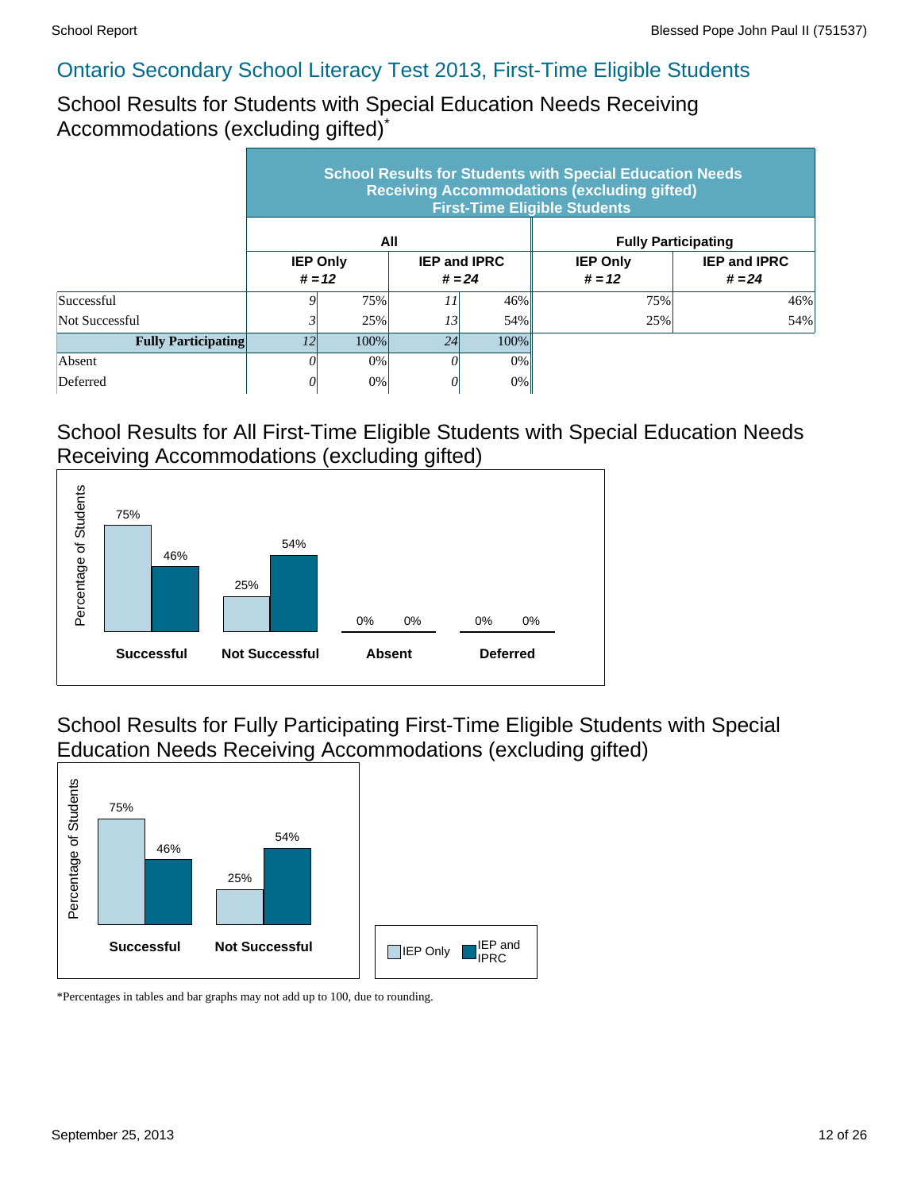School Results for Students with Special Education Needs Receiving Accommodations (excluding gifted)\*

|                            | <b>School Results for Students with Special Education Needs</b><br><b>Receiving Accommodations (excluding gifted)</b><br><b>First-Time Eligible Students</b> |                             |                                 |         |                             |                                 |  |  |  |  |
|----------------------------|--------------------------------------------------------------------------------------------------------------------------------------------------------------|-----------------------------|---------------------------------|---------|-----------------------------|---------------------------------|--|--|--|--|
|                            |                                                                                                                                                              |                             | All                             |         | <b>Fully Participating</b>  |                                 |  |  |  |  |
|                            |                                                                                                                                                              | <b>IEP Only</b><br>$# = 12$ | <b>IEP and IPRC</b><br>$# = 24$ |         | <b>IEP Only</b><br>$# = 12$ | <b>IEP and IPRC</b><br>$# = 24$ |  |  |  |  |
| Successful                 |                                                                                                                                                              | 75%                         | II                              | 46%     | 75%                         | 46%                             |  |  |  |  |
| Not Successful             |                                                                                                                                                              | 25%                         | 13                              | 54%     | 25%                         | 54%                             |  |  |  |  |
| <b>Fully Participating</b> | 12                                                                                                                                                           | 100%                        | 24                              | $100\%$ |                             |                                 |  |  |  |  |
| Absent                     |                                                                                                                                                              | 0%                          |                                 | $0\%$   |                             |                                 |  |  |  |  |
| Deferred                   |                                                                                                                                                              | 0%                          |                                 | 0%      |                             |                                 |  |  |  |  |

#### School Results for All First-Time Eligible Students with Special Education Needs Receiving Accommodations (excluding gifted)



School Results for Fully Participating First-Time Eligible Students with Special Education Needs Receiving Accommodations (excluding gifted)

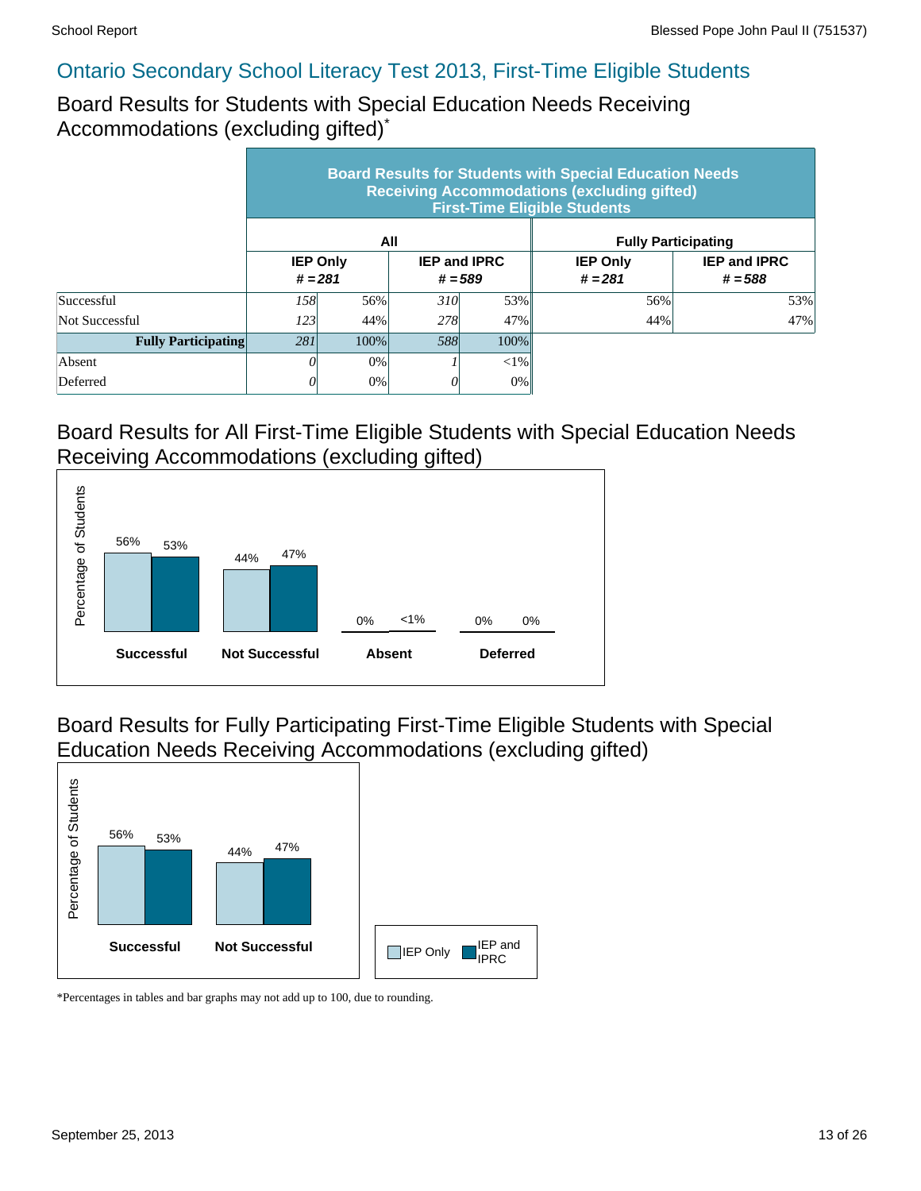Board Results for Students with Special Education Needs Receiving Accommodations (excluding gifted)\*

|                            | <b>Board Results for Students with Special Education Needs</b><br><b>Receiving Accommodations (excluding gifted)</b><br><b>First-Time Eligible Students</b> |                 |                                  |         |                              |                                  |  |  |  |  |
|----------------------------|-------------------------------------------------------------------------------------------------------------------------------------------------------------|-----------------|----------------------------------|---------|------------------------------|----------------------------------|--|--|--|--|
|                            |                                                                                                                                                             |                 | All                              |         | <b>Fully Participating</b>   |                                  |  |  |  |  |
|                            | $# = 281$                                                                                                                                                   | <b>IEP Only</b> | <b>IEP and IPRC</b><br>$# = 589$ |         | <b>IEP Only</b><br>$# = 281$ | <b>IEP and IPRC</b><br>$# = 588$ |  |  |  |  |
| Successful                 | 158 <sup> </sup>                                                                                                                                            | 56%             | 310                              | 53%     | 56%                          | 53%                              |  |  |  |  |
| Not Successful             | 123                                                                                                                                                         | 44%             | 278                              | 47%     | 44%                          | 47%                              |  |  |  |  |
| <b>Fully Participating</b> | 281                                                                                                                                                         | 100%            | .588                             | $100\%$ |                              |                                  |  |  |  |  |
| Absent                     |                                                                                                                                                             | 0%              |                                  | $< 1\%$ |                              |                                  |  |  |  |  |
| Deferred                   |                                                                                                                                                             | 0%              |                                  | $0\%$   |                              |                                  |  |  |  |  |

#### Board Results for All First-Time Eligible Students with Special Education Needs Receiving Accommodations (excluding gifted)



Board Results for Fully Participating First-Time Eligible Students with Special Education Needs Receiving Accommodations (excluding gifted)

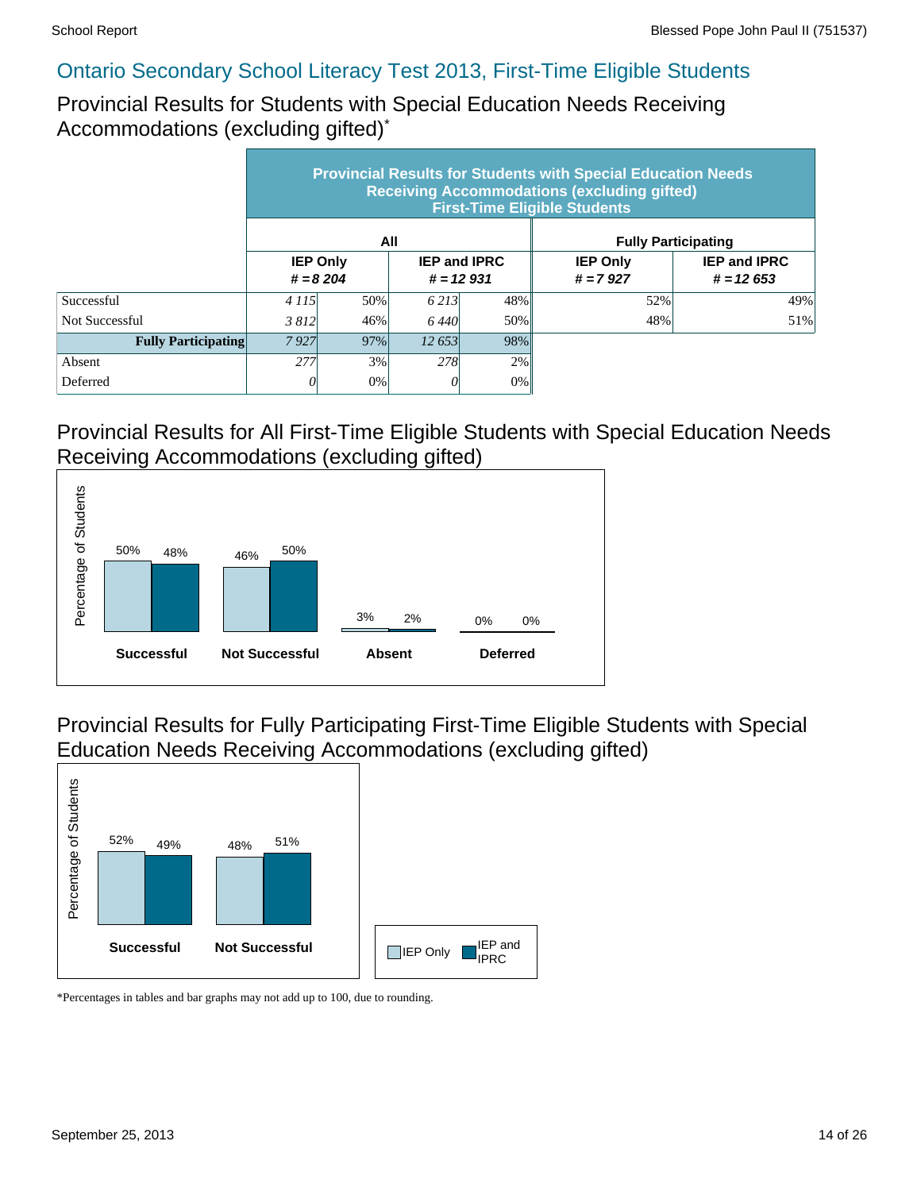Provincial Results for Students with Special Education Needs Receiving Accommodations (excluding gifted)\*

|                            | <b>Provincial Results for Students with Special Education Needs</b><br><b>Receiving Accommodations (excluding gifted)</b><br><b>First-Time Eligible Students</b> |                               |                                    |       |                               |                                    |  |  |  |  |
|----------------------------|------------------------------------------------------------------------------------------------------------------------------------------------------------------|-------------------------------|------------------------------------|-------|-------------------------------|------------------------------------|--|--|--|--|
|                            |                                                                                                                                                                  |                               | All                                |       | <b>Fully Participating</b>    |                                    |  |  |  |  |
|                            |                                                                                                                                                                  | <b>IEP Only</b><br>$# = 8204$ | <b>IEP and IPRC</b><br>$# = 12931$ |       | <b>IEP Only</b><br>$# = 7927$ | <b>IEP and IPRC</b><br>$# = 12653$ |  |  |  |  |
| Successful                 | 4 1 1 5                                                                                                                                                          | 50%                           | 6.213                              | 48%   | 52%                           | 49%                                |  |  |  |  |
| Not Successful             | 3812                                                                                                                                                             | 46%                           | 6.440                              | 50%   | 48%                           | 51%                                |  |  |  |  |
| <b>Fully Participating</b> | 7927                                                                                                                                                             | 97%                           | 12.653                             | 98%   |                               |                                    |  |  |  |  |
| Absent                     | 277                                                                                                                                                              | 3%                            | 278                                | 2%    |                               |                                    |  |  |  |  |
| Deferred                   |                                                                                                                                                                  | 0%                            | 0                                  | $0\%$ |                               |                                    |  |  |  |  |

#### Provincial Results for All First-Time Eligible Students with Special Education Needs Receiving Accommodations (excluding gifted)



Provincial Results for Fully Participating First-Time Eligible Students with Special Education Needs Receiving Accommodations (excluding gifted)

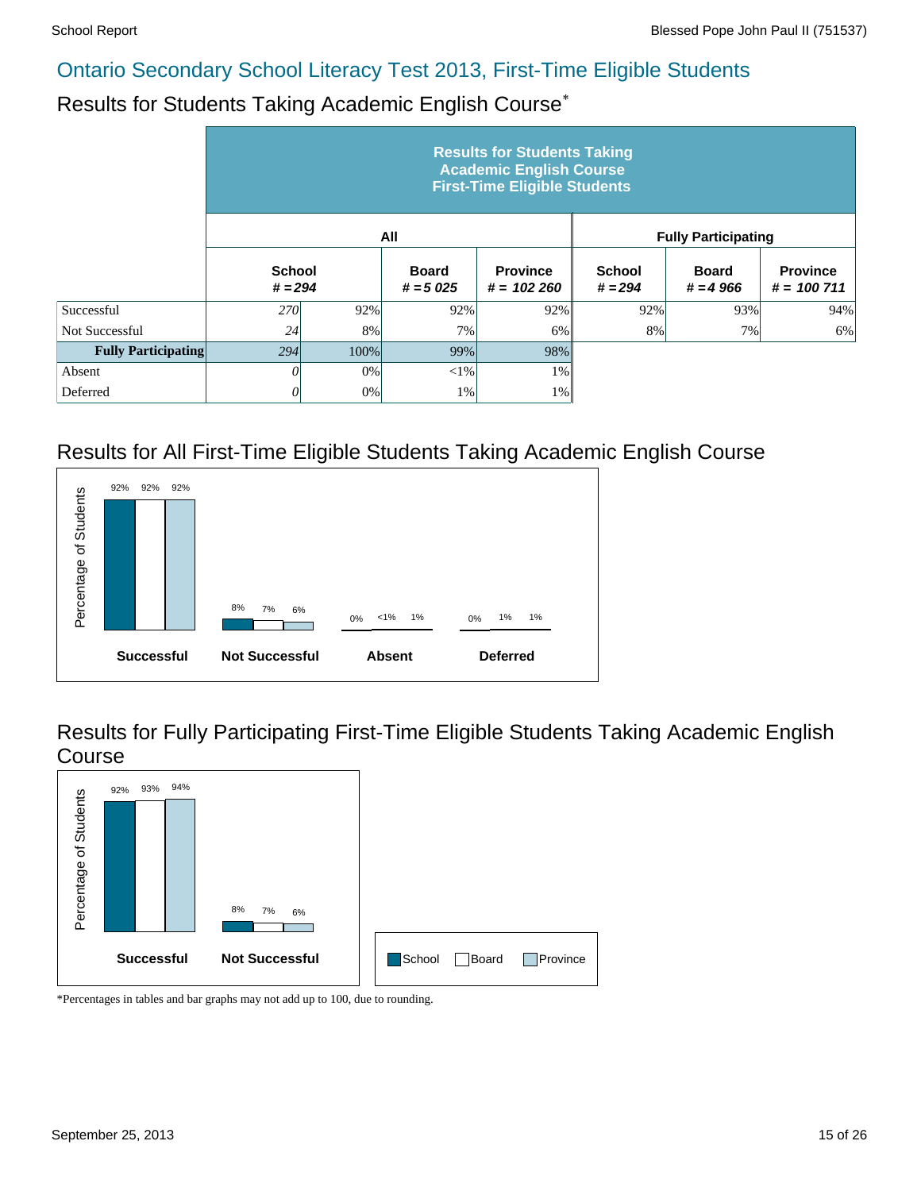#### Results for Students Taking Academic English Course\*

|                            | <b>Results for Students Taking</b><br><b>Academic English Course</b><br><b>First-Time Eligible Students</b> |      |                            |                                 |                            |                            |                                 |  |  |  |
|----------------------------|-------------------------------------------------------------------------------------------------------------|------|----------------------------|---------------------------------|----------------------------|----------------------------|---------------------------------|--|--|--|
|                            |                                                                                                             |      | All                        |                                 |                            | <b>Fully Participating</b> |                                 |  |  |  |
|                            | <b>School</b><br>$# = 294$                                                                                  |      | <b>Board</b><br>$# = 5025$ | <b>Province</b><br>$# = 102260$ | <b>School</b><br>$# = 294$ | <b>Board</b><br>$# = 4966$ | <b>Province</b><br>$# = 100711$ |  |  |  |
| Successful                 | <b>270</b>                                                                                                  | 92%  | 92%                        | 92%                             | 92%                        | 93%                        | 94%                             |  |  |  |
| Not Successful             | 24                                                                                                          | 8%   | 7%                         | 6%                              | 8%                         | 7%                         | 6%                              |  |  |  |
| <b>Fully Participating</b> | 294                                                                                                         | 100% | 99%                        | 98%                             |                            |                            |                                 |  |  |  |
| Absent                     | 0                                                                                                           | 0%   | $<$ 1%                     | 1%                              |                            |                            |                                 |  |  |  |
| Deferred                   | 0                                                                                                           | 0%   | 1%                         | 1%                              |                            |                            |                                 |  |  |  |

#### Results for All First-Time Eligible Students Taking Academic English Course



Results for Fully Participating First-Time Eligible Students Taking Academic English Course

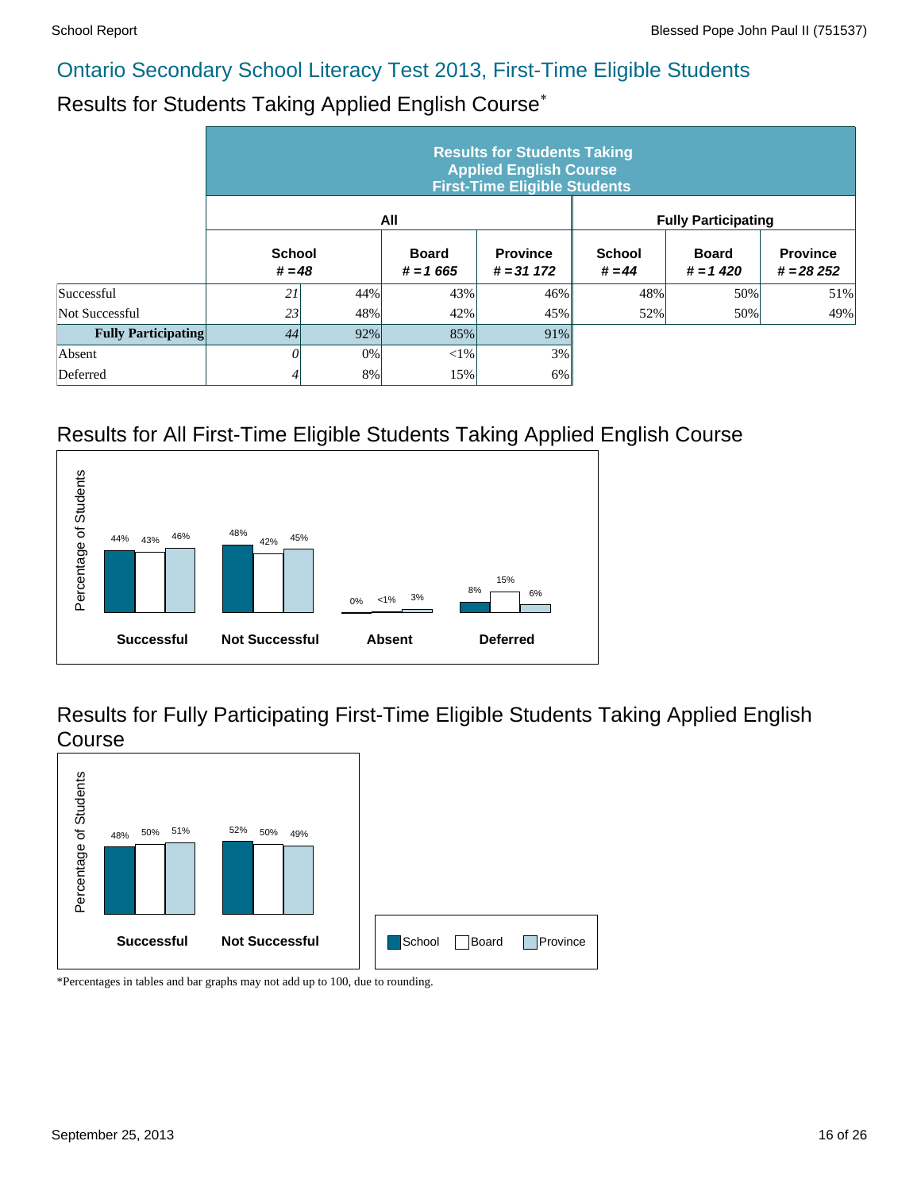# Results for Students Taking Applied English Course\*

|                            | <b>Results for Students Taking</b><br><b>Applied English Course</b><br><b>First-Time Eligible Students</b> |     |                            |                                 |                           |                            |                                |  |  |  |  |  |
|----------------------------|------------------------------------------------------------------------------------------------------------|-----|----------------------------|---------------------------------|---------------------------|----------------------------|--------------------------------|--|--|--|--|--|
|                            |                                                                                                            |     | All                        |                                 |                           | <b>Fully Participating</b> |                                |  |  |  |  |  |
|                            | <b>School</b><br>$# = 48$                                                                                  |     | <b>Board</b><br>$# = 1665$ | <b>Province</b><br>$# = 31 172$ | <b>School</b><br>$# = 44$ | <b>Board</b><br>$# = 1420$ | <b>Province</b><br>$# = 28252$ |  |  |  |  |  |
| Successful                 | 21                                                                                                         | 44% | 43%                        | 46%                             | 48%                       | 50%                        | 51%                            |  |  |  |  |  |
| Not Successful             | 23                                                                                                         | 48% | 42%                        | 45%                             | 52%                       | 50%                        | 49%                            |  |  |  |  |  |
| <b>Fully Participating</b> | 44                                                                                                         | 92% | 85%                        | 91%                             |                           |                            |                                |  |  |  |  |  |
| Absent                     | 0                                                                                                          | 0%  | $<$ 1%                     | 3%                              |                           |                            |                                |  |  |  |  |  |
| Deferred                   | 4                                                                                                          | 8%  | 15%                        | 6%                              |                           |                            |                                |  |  |  |  |  |

### Results for All First-Time Eligible Students Taking Applied English Course



Results for Fully Participating First-Time Eligible Students Taking Applied English Course

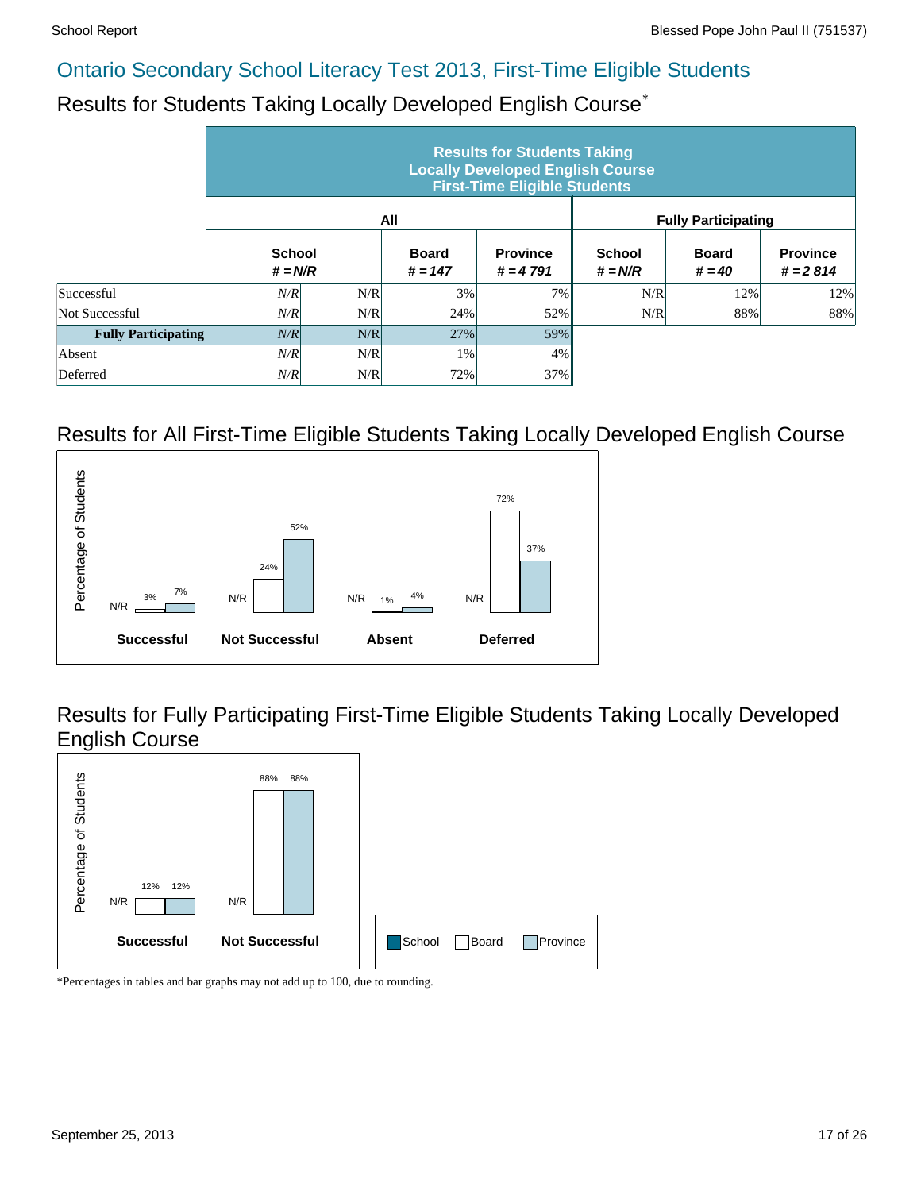# Results for Students Taking Locally Developed English Course\*

|                            |                            |     |                           | <b>Results for Students Taking</b><br><b>Locally Developed English Course</b><br><b>First-Time Eligible Students</b> |                            |                            |                               |
|----------------------------|----------------------------|-----|---------------------------|----------------------------------------------------------------------------------------------------------------------|----------------------------|----------------------------|-------------------------------|
|                            |                            |     | All                       |                                                                                                                      |                            | <b>Fully Participating</b> |                               |
|                            | <b>School</b><br>$# = N/R$ |     | <b>Board</b><br>$# = 147$ | <b>Province</b><br>$# = 4791$                                                                                        | <b>School</b><br>$# = N/R$ | <b>Board</b><br>$# = 40$   | <b>Province</b><br>$# = 2814$ |
| Successful                 | N/R                        | N/R | 3%                        | 7%                                                                                                                   | N/R                        | 12%                        | 12%                           |
| Not Successful             | N/R                        | N/R | 24%                       | 52%                                                                                                                  | N/R                        | 88%                        | 88%                           |
| <b>Fully Participating</b> | N/R                        | N/R | 27%                       | 59%                                                                                                                  |                            |                            |                               |
| Absent                     | N/R                        | N/R | 1%                        | 4%                                                                                                                   |                            |                            |                               |
| Deferred                   | N/R                        | N/R | 72%                       | 37%                                                                                                                  |                            |                            |                               |

#### Results for All First-Time Eligible Students Taking Locally Developed English Course



Results for Fully Participating First-Time Eligible Students Taking Locally Developed English Course

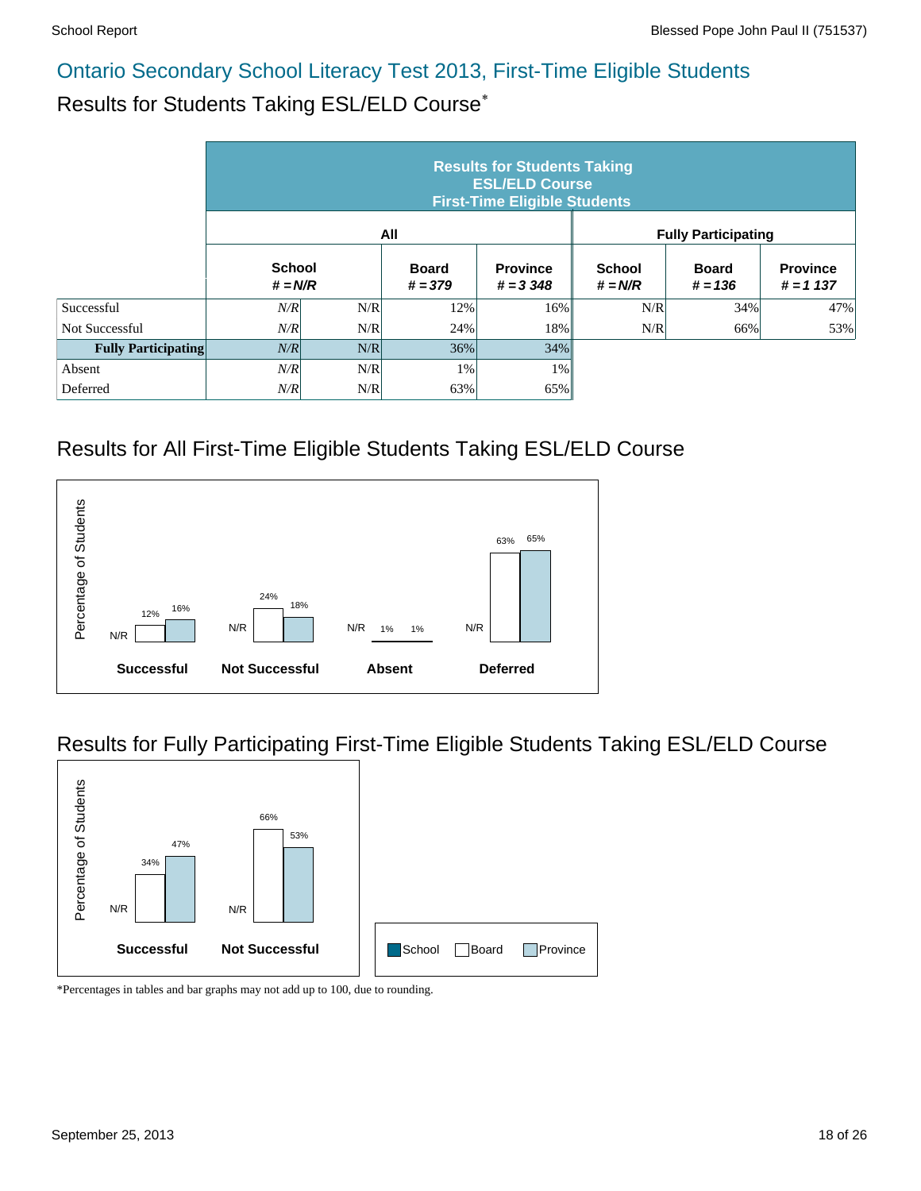### Results for Students Taking ESL/ELD Course\*

|                            | <b>Results for Students Taking</b><br><b>ESL/ELD Course</b><br><b>First-Time Eligible Students</b> |     |                           |                                |                            |                            |                               |  |  |  |  |  |
|----------------------------|----------------------------------------------------------------------------------------------------|-----|---------------------------|--------------------------------|----------------------------|----------------------------|-------------------------------|--|--|--|--|--|
|                            |                                                                                                    |     | All                       |                                |                            | <b>Fully Participating</b> |                               |  |  |  |  |  |
|                            | <b>School</b><br>$# = N/R$                                                                         |     | <b>Board</b><br>$# = 379$ | <b>Province</b><br>$# = 3,348$ | <b>School</b><br>$# = N/R$ | <b>Board</b><br>$# = 136$  | <b>Province</b><br>$# = 1137$ |  |  |  |  |  |
| Successful                 | N/R                                                                                                | N/R | 12%                       | 16%                            | N/R                        | 34%                        | 47%                           |  |  |  |  |  |
| Not Successful             | N/R                                                                                                | N/R | 24%                       | 18%                            | N/R                        | 66%                        | 53%                           |  |  |  |  |  |
| <b>Fully Participating</b> | N/R                                                                                                | N/R | 36%                       | 34%                            |                            |                            |                               |  |  |  |  |  |
| Absent                     | N/R                                                                                                | N/R | 1%                        | $1\%$                          |                            |                            |                               |  |  |  |  |  |
| Deferred                   | N/R                                                                                                | N/R | 63%                       | 65%                            |                            |                            |                               |  |  |  |  |  |

#### Results for All First-Time Eligible Students Taking ESL/ELD Course



#### Results for Fully Participating First-Time Eligible Students Taking ESL/ELD Course

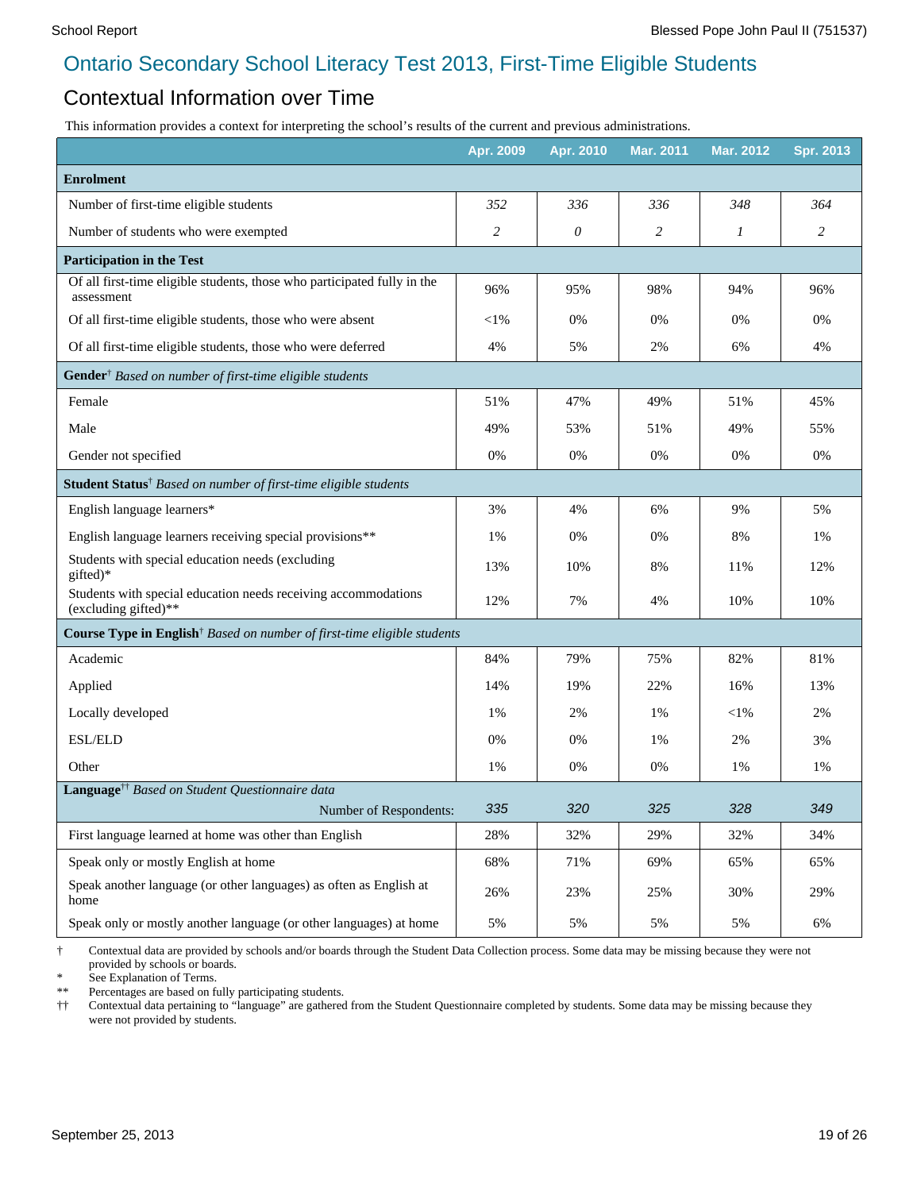#### Contextual Information over Time

This information provides a context for interpreting the school's results of the current and previous administrations.

|                                                                                        | Apr. 2009      | Apr. 2010 | Mar. 2011 | Mar. 2012 | <b>Spr. 2013</b> |
|----------------------------------------------------------------------------------------|----------------|-----------|-----------|-----------|------------------|
| <b>Enrolment</b>                                                                       |                |           |           |           |                  |
| Number of first-time eligible students                                                 | 352            | 336       | 336       | 348       | 364              |
| Number of students who were exempted                                                   | $\overline{c}$ | 0         | 2         | 1         | 2                |
| <b>Participation in the Test</b>                                                       |                |           |           |           |                  |
| Of all first-time eligible students, those who participated fully in the<br>assessment | 96%            | 95%       | 98%       | 94%       | 96%              |
| Of all first-time eligible students, those who were absent                             | $<$ 1%         | 0%        | 0%        | 0%        | 0%               |
| Of all first-time eligible students, those who were deferred                           | 4%             | 5%        | 2%        | 6%        | 4%               |
| Gender <sup>†</sup> Based on number of first-time eligible students                    |                |           |           |           |                  |
| Female                                                                                 | 51%            | 47%       | 49%       | 51%       | 45%              |
| Male                                                                                   | 49%            | 53%       | 51%       | 49%       | 55%              |
| Gender not specified                                                                   | 0%             | 0%        | 0%        | 0%        | 0%               |
| Student Status <sup>†</sup> Based on number of first-time eligible students            |                |           |           |           |                  |
| English language learners*                                                             | 3%             | 4%        | 6%        | 9%        | 5%               |
| English language learners receiving special provisions**                               | 1%             | 0%        | 0%        | 8%        | 1%               |
| Students with special education needs (excluding<br>gifted)*                           | 13%            | 10%       | 8%        | 11%       | 12%              |
| Students with special education needs receiving accommodations<br>(excluding gifted)** | 12%            | 7%        | 4%        | 10%       | 10%              |
| Course Type in English <sup>†</sup> Based on number of first-time eligible students    |                |           |           |           |                  |
| Academic                                                                               | 84%            | 79%       | 75%       | 82%       | 81%              |
| Applied                                                                                | 14%            | 19%       | 22%       | 16%       | 13%              |
| Locally developed                                                                      | 1%             | 2%        | 1%        | $<$ l $%$ | 2%               |
| <b>ESL/ELD</b>                                                                         | 0%             | 0%        | 1%        | 2%        | 3%               |
| Other                                                                                  | 1%             | 0%        | 0%        | 1%        | 1%               |
| Language <sup>+†</sup> Based on Student Questionnaire data                             |                |           |           |           |                  |
| Number of Respondents:                                                                 | 335            | 320       | 325       | 328       | 349              |
| First language learned at home was other than English                                  | 28%            | 32%       | 29%       | 32%       | 34%              |
| Speak only or mostly English at home                                                   | 68%            | 71%       | 69%       | 65%       | 65%              |
| Speak another language (or other languages) as often as English at<br>home             | 26%            | 23%       | 25%       | 30%       | 29%              |
| Speak only or mostly another language (or other languages) at home                     | 5%             | 5%        | 5%        | 5%        | 6%               |

† Contextual data are provided by schools and/or boards through the Student Data Collection process. Some data may be missing because they were not provided by schools or boards.

\* See Explanation of Terms.<br>\*\* Percentages are based on fix

Percentages are based on fully participating students.

†† Contextual data pertaining to "language" are gathered from the Student Questionnaire completed by students. Some data may be missing because they were not provided by students.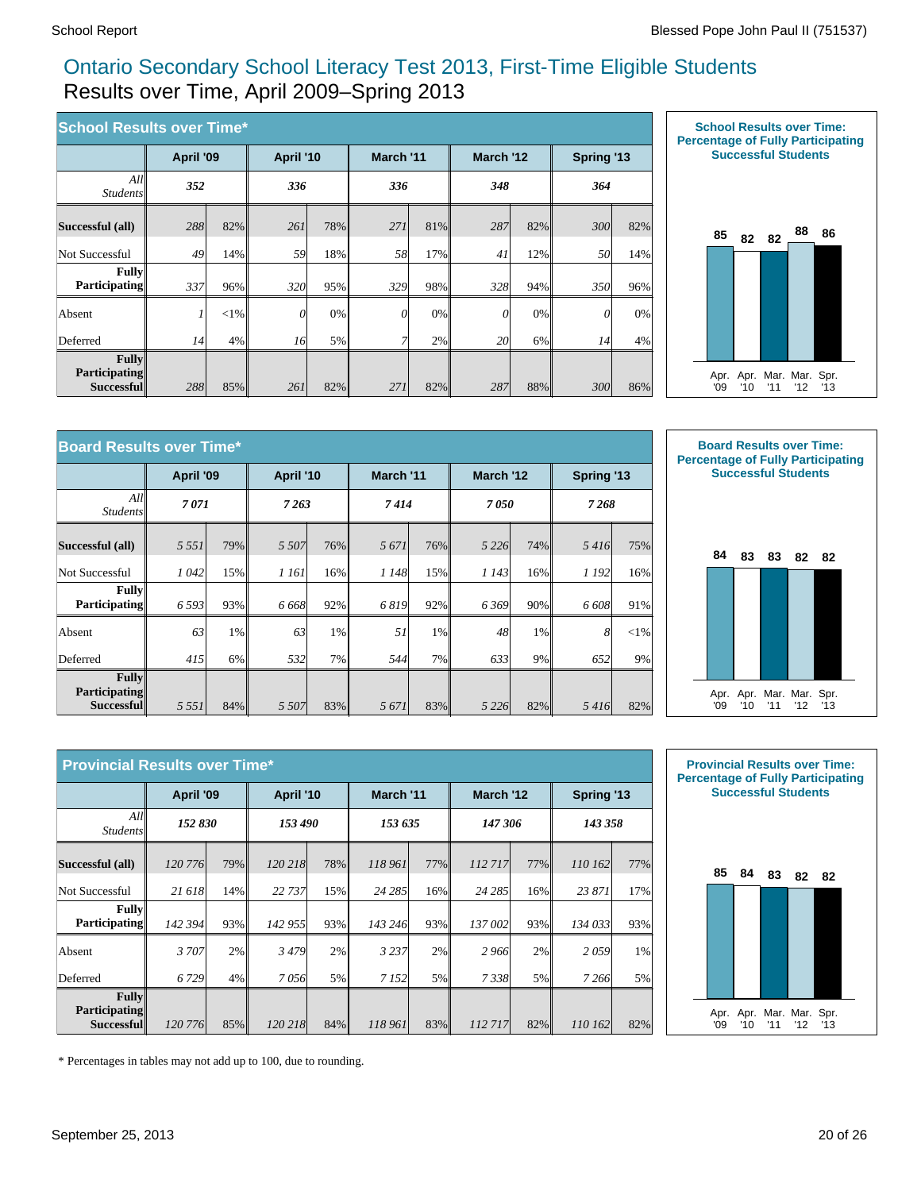#### Ontario Secondary School Literacy Test 2013, First-Time Eligible Students Results over Time, April 2009–Spring 2013

| <b>School Results over Time*</b>            |           |         |           |       |           |     |           |     |            |     |
|---------------------------------------------|-----------|---------|-----------|-------|-----------|-----|-----------|-----|------------|-----|
|                                             | April '09 |         | April '10 |       | March '11 |     | March '12 |     | Spring '13 |     |
| All<br><i>Students</i>                      | 352       |         | 336       |       | 336       |     | 348       |     | 364        |     |
| Successful (all)                            | 288       | 82%     | 261       | 78%   | 271       | 81% | 287       | 82% | 300        | 82% |
| Not Successful                              | 49        | 14%     | 59        | 18%   | 58        | 17% | 41        | 12% | <i>50</i>  | 14% |
| <b>Fully</b><br><b>Participating</b>        | 337       | 96%     | 320       | 95%   | 329       | 98% | 328       | 94% | 350        | 96% |
| Absent                                      |           | $< 1\%$ | $\theta$  | 0%    | $\theta$  | 0%  | 0         | 0%  | $\theta$   | 0%  |
| Deferred                                    | 14        | 4%      | 16        | $5\%$ | 7         | 2%  | 20        | 6%  | 14         | 4%  |
| Fullv<br><b>Participating</b><br>Successful | 288       | 85%     | 261       | 82%   | 271       | 82% | 287       | 88% | 300        | 86% |



| <b>Board Results over Time*</b>                           |           |     |           |        |           |     |           |     |                |        |
|-----------------------------------------------------------|-----------|-----|-----------|--------|-----------|-----|-----------|-----|----------------|--------|
|                                                           | April '09 |     | April '10 |        | March '11 |     | March '12 |     | Spring '13     |        |
| All<br><b>Students</b>                                    | 7071      |     | 7263      |        | 7414      |     | 7050      |     | 7268           |        |
| Successful (all)                                          | 5 5 5 1   | 79% | 5 5 0 7   | $76\%$ | 5 6 7 1   | 76% | 5 2 2 6   | 74% | 5416           | 75%    |
| Not Successful                                            | 1042      | 15% | 1 161     | 16%    | 1 148     | 15% | 1 1 4 3   | 16% | 1 192          | 16%    |
| <b>Fully</b><br><b>Participating</b>                      | 6 5 9 3   | 93% | 6 6 6 8 1 | 92%    | 6819      | 92% | 6369      | 90% | 6 608          | 91%    |
| Absent                                                    | 63        | 1%  | 63        | $1\%$  | 51        | 1%  | 48        | 1%  | 8 <sup>1</sup> | $<$ 1% |
| Deferred                                                  | 415       | 6%  | 532       | 7%     | 544       | 7%  | 633       | 9%  | 652            | 9%     |
| <b>Fully</b><br><b>Participating</b><br><b>Successful</b> | 5 5 5 1   | 84% | 5 507     | 83%    | 5 6 7 1   | 83% | 5 2 2 6 1 | 82% | 5416           | 82%    |



|                                             | <b>Provincial Results over Time*</b> |     |           |     |           |     |           |     |            |     |  |
|---------------------------------------------|--------------------------------------|-----|-----------|-----|-----------|-----|-----------|-----|------------|-----|--|
|                                             | April '09                            |     | April '10 |     | March '11 |     | March '12 |     | Spring '13 |     |  |
| All<br><i>Students</i>                      | 152 830                              |     | 153 490   |     | 153 635   |     | 147 306   |     | 143 358    |     |  |
| Successful (all)                            | 120 776                              | 79% | 120 218   | 78% | 118 961   | 77% | 112 717   | 77% | 110 162    | 77% |  |
| Not Successful                              | 21 618                               | 14% | 22 737    | 15% | 24 28 5   | 16% | 24 285    | 16% | 23 871     | 17% |  |
| Fully<br>Participating                      | 142 394                              | 93% | 142 955   | 93% | 143 246   | 93% | 137 002   | 93% | 134 033    | 93% |  |
| Absent                                      | 3 707                                | 2%  | 3479      | 2%  | 3 2 3 7   | 2%  | 2966      | 2%  | 2059       | 1%  |  |
| Deferred                                    | 6 7 29                               | 4%  | 7056      | 5%  | 7 1 5 2   | 5%  | 7338      | 5%  | 7 266      | 5%  |  |
| Fullv<br><b>Participating</b><br>Successful | 120 776                              | 85% | 120 218   | 84% | 118 961   | 83% | 112 717   | 82% | 110 162    | 82% |  |



\* Percentages in tables may not add up to 100, due to rounding.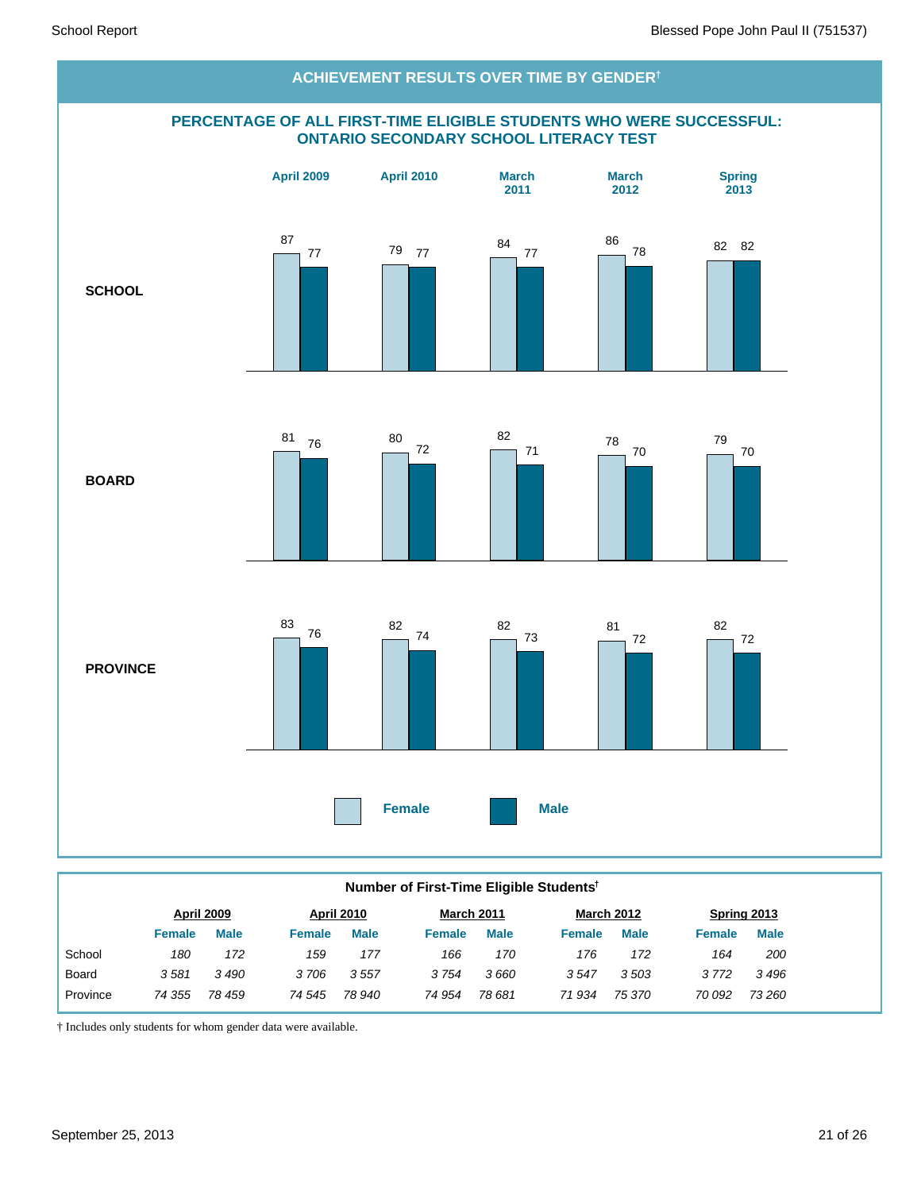

#### **Number of First-Time Eligible Students†**

|              |        | April 2009  |               | <b>April 2010</b> |        | <b>March 2011</b> |               | <b>March 2012</b> |               | Spring 2013 |
|--------------|--------|-------------|---------------|-------------------|--------|-------------------|---------------|-------------------|---------------|-------------|
|              | Female | <b>Male</b> | <b>Female</b> | <b>Male</b>       | Female | <b>Male</b>       | <b>Female</b> | <b>Male</b>       | <b>Female</b> | <b>Male</b> |
| School       | 180    | 172         | 159           | 177               | 166    | 170               | 176           | 172               | 164           | 200         |
| <b>Board</b> | 3581   | 3490        | 3706          | 3557              | 3754   | 3660              | 3547          | 3503              | 3772          | 3496        |
| Province     | 74 355 | 78 459      | 74 545        | 78 940            | 74 954 | 78 681            | 71934         | 75 370            | 70 092        | 73 260      |
|              |        |             |               |                   |        |                   |               |                   |               |             |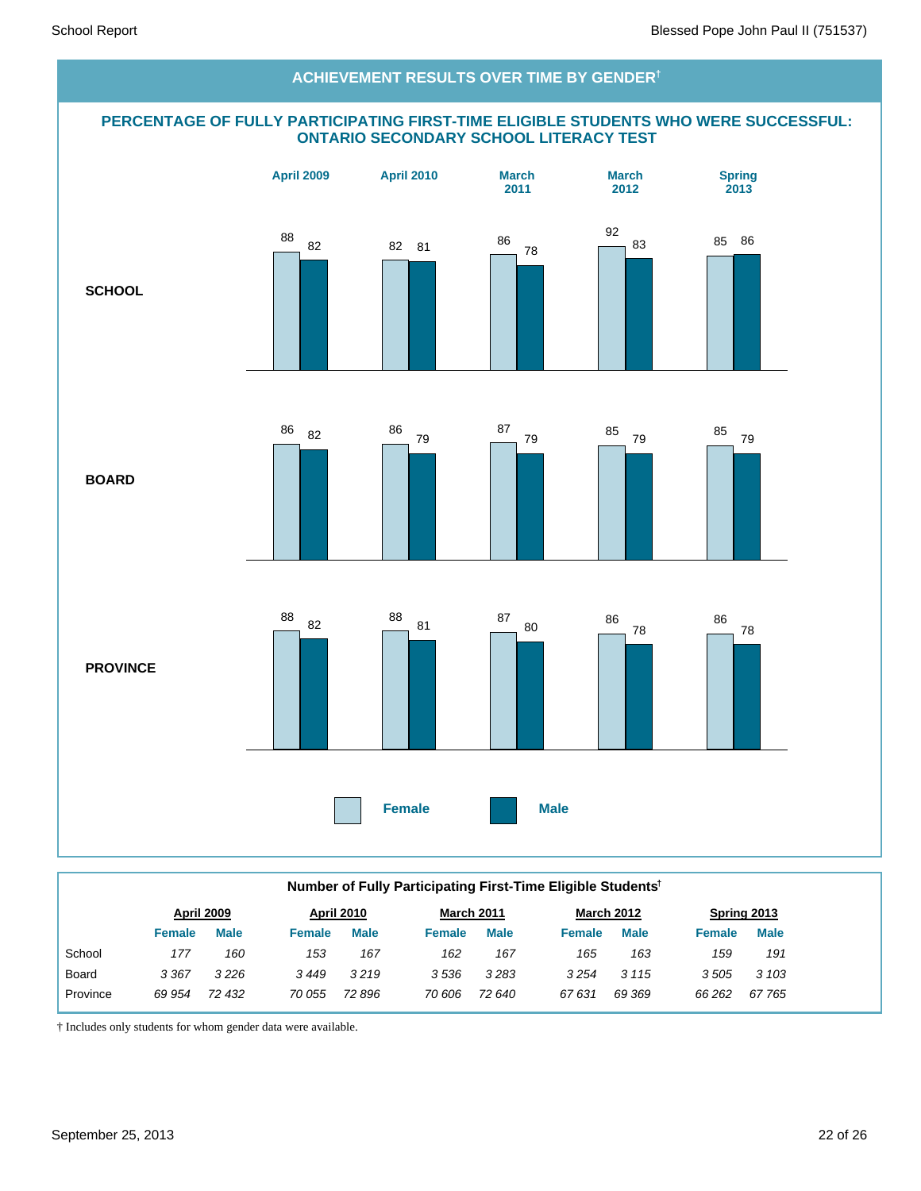# **PERCENTAGE OF FULLY PARTICIPATING FIRST-TIME ELIGIBLE STUDENTS WHO WERE SUCCESSFUL: ONTARIO SECONDARY SCHOOL LITERACY TEST SCHOOL BOARD PROVINCE Female Male April 2009 April 2010 March 2011 March 2012 Spring 2013 ACHIEVEMENT RESULTS OVER TIME BY GENDER†** 88 82 82 81 86 78 92 83 85 86 <sup>86</sup> <sup>82</sup> <sup>86</sup> 79 87 <sup>79</sup> <sup>85</sup> <sup>79</sup> <sup>85</sup> <sup>79</sup> 88 82 88 <sup>81</sup> <sup>87</sup> <sup>80</sup> <sup>86</sup> 78 86 78

|              | Number of Fully Participating First-Time Eligible Students <sup>†</sup> |                   |               |                   |               |                   |               |                   |               |             |  |  |
|--------------|-------------------------------------------------------------------------|-------------------|---------------|-------------------|---------------|-------------------|---------------|-------------------|---------------|-------------|--|--|
|              |                                                                         | <b>April 2009</b> |               | <b>April 2010</b> |               | <b>March 2011</b> |               | <b>March 2012</b> |               | Spring 2013 |  |  |
|              | <b>Female</b>                                                           | <b>Male</b>       | <b>Female</b> | <b>Male</b>       | <b>Female</b> | <b>Male</b>       | <b>Female</b> | <b>Male</b>       | <b>Female</b> | <b>Male</b> |  |  |
| School       | 177                                                                     | 160               | 153           | 167               | 162           | 167               | 165           | 163               | 159           | 191         |  |  |
| <b>Board</b> | 3 3 6 7                                                                 | 3226              | 3449          | 3219              | 3536          | 3283              | 3 2 5 4       | 3 1 1 5           | 3505          | 3 103       |  |  |
| Province     | 69 954                                                                  | 72 432            | 70 055        | 72 896            | 70 606        | 72 640            | 67631         | 69 369            | 66 262        | 67 765      |  |  |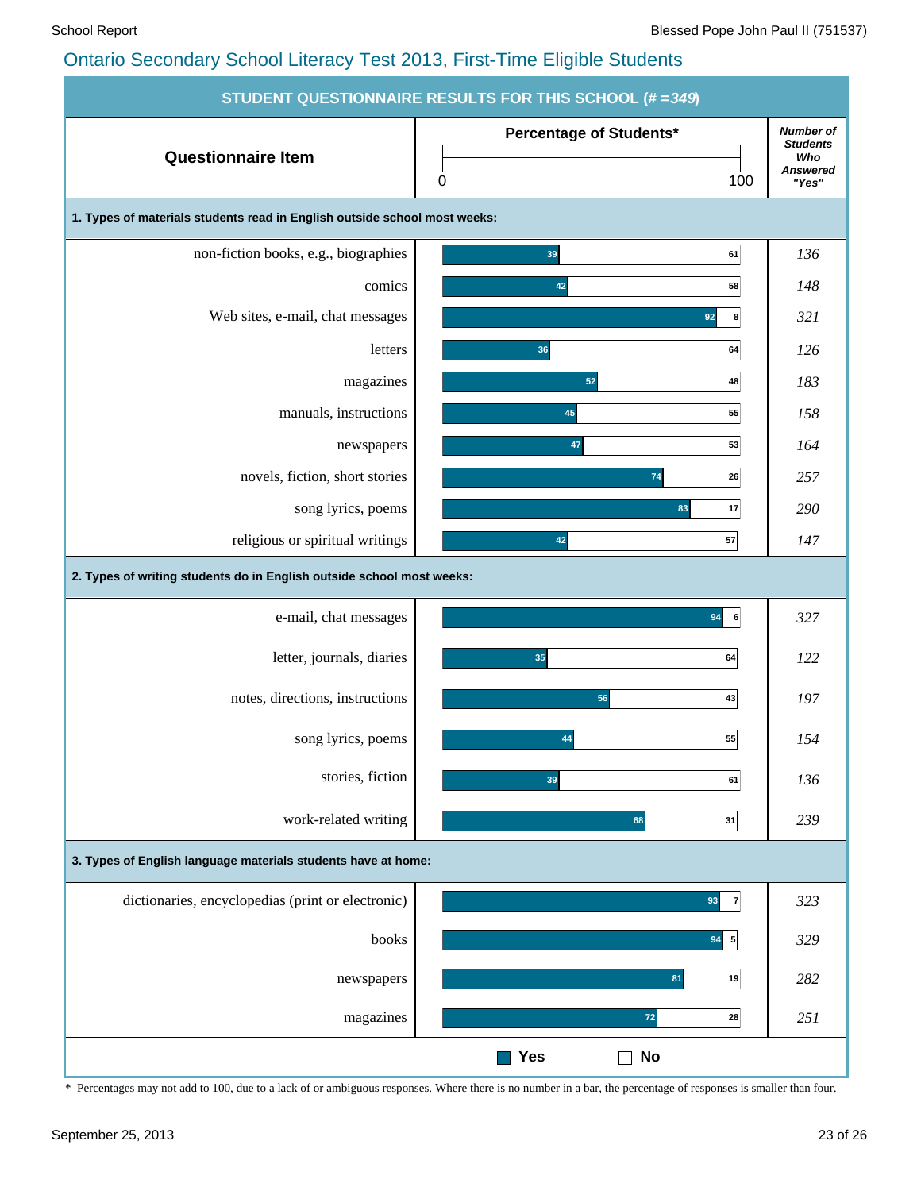|                                                                           | STUDENT QUESTIONNAIRE RESULTS FOR THIS SCHOOL (# = 349) |                                                                        |
|---------------------------------------------------------------------------|---------------------------------------------------------|------------------------------------------------------------------------|
| <b>Questionnaire Item</b>                                                 | Percentage of Students*<br>0<br>100                     | <b>Number of</b><br><b>Students</b><br>Who<br><b>Answered</b><br>"Yes" |
| 1. Types of materials students read in English outside school most weeks: |                                                         |                                                                        |
| non-fiction books, e.g., biographies                                      | 39<br>61                                                | 136                                                                    |
| comics                                                                    | 42<br>58                                                | 148                                                                    |
| Web sites, e-mail, chat messages                                          | 92<br>8                                                 | 321                                                                    |
| letters                                                                   | 36<br>64                                                | 126                                                                    |
| magazines                                                                 | 52<br>48                                                | 183                                                                    |
| manuals, instructions                                                     | 45<br>55                                                | 158                                                                    |
| newspapers                                                                | 47<br>53                                                | 164                                                                    |
| novels, fiction, short stories                                            | 74<br>26                                                | 257                                                                    |
| song lyrics, poems                                                        | 83<br>17                                                | 290                                                                    |
| religious or spiritual writings                                           | 57<br>42                                                | 147                                                                    |
| 2. Types of writing students do in English outside school most weeks:     |                                                         |                                                                        |
| e-mail, chat messages                                                     | 94<br>6                                                 | 327                                                                    |
| letter, journals, diaries                                                 | 35<br>64                                                | 122                                                                    |
| notes, directions, instructions                                           | 56<br>43                                                | 197                                                                    |
| song lyrics, poems                                                        | 55<br>44                                                | 154                                                                    |
| stories, fiction                                                          | 39<br>61                                                | 136                                                                    |
| work-related writing                                                      | 68<br>31                                                | 239                                                                    |
| 3. Types of English language materials students have at home:             |                                                         |                                                                        |
| dictionaries, encyclopedias (print or electronic)                         | $\overline{7}$<br>93                                    | 323                                                                    |
| books                                                                     | $94 \overline{5}$                                       | 329                                                                    |
| newspapers                                                                | 81<br>19                                                | 282                                                                    |
| magazines                                                                 | $72$<br>28                                              | 251                                                                    |
|                                                                           | <b>Yes</b><br><b>No</b>                                 |                                                                        |

\* Percentages may not add to 100, due to a lack of or ambiguous responses. Where there is no number in a bar, the percentage of responses is smaller than four.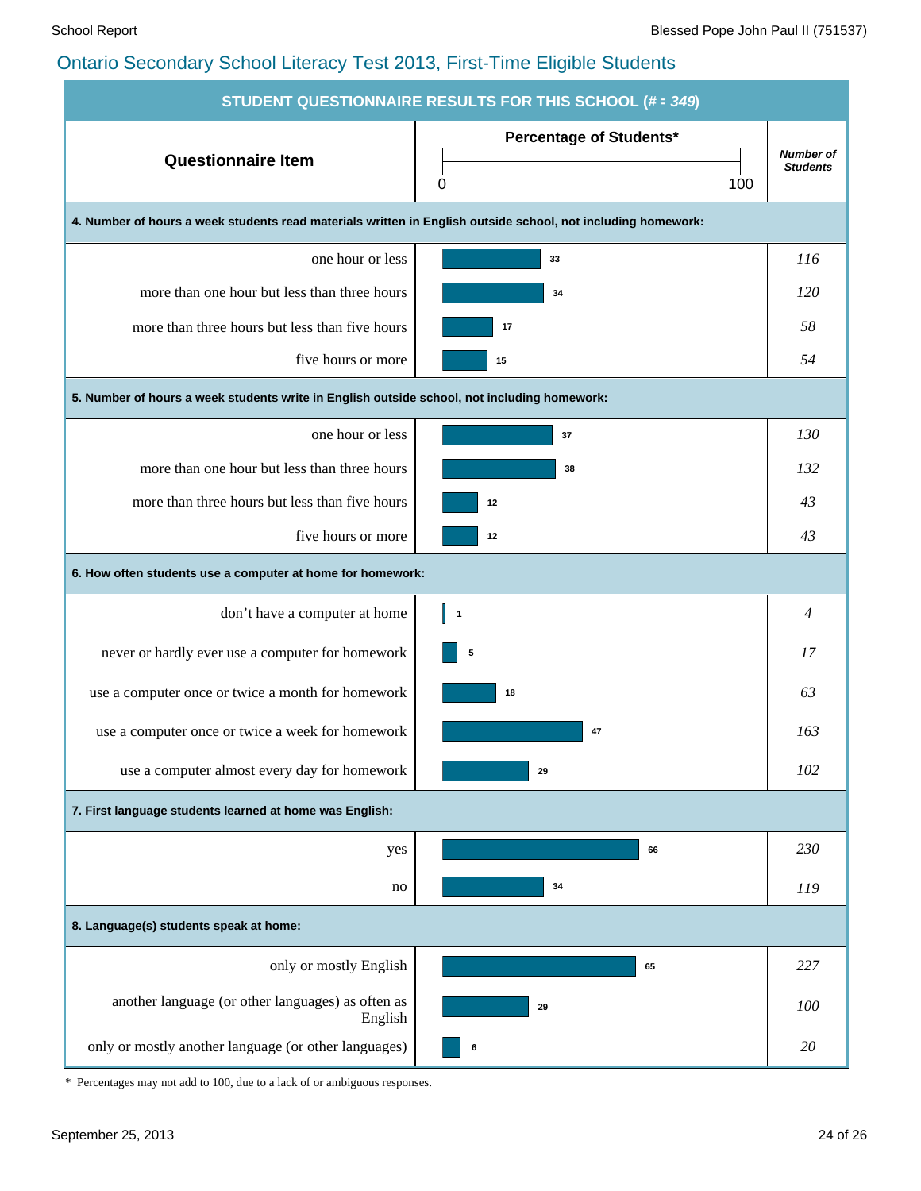| <b>STUDENT QUESTIONNAIRE RESULTS FOR THIS SCHOOL (# = 349)</b>                                               |                                |                  |  |  |  |  |  |  |  |  |
|--------------------------------------------------------------------------------------------------------------|--------------------------------|------------------|--|--|--|--|--|--|--|--|
| <b>Questionnaire Item</b>                                                                                    | <b>Percentage of Students*</b> | <b>Number of</b> |  |  |  |  |  |  |  |  |
|                                                                                                              | 100<br>0                       | <b>Students</b>  |  |  |  |  |  |  |  |  |
| 4. Number of hours a week students read materials written in English outside school, not including homework: |                                |                  |  |  |  |  |  |  |  |  |
| one hour or less                                                                                             | 33                             | 116              |  |  |  |  |  |  |  |  |
| more than one hour but less than three hours                                                                 | 34                             | <i>120</i>       |  |  |  |  |  |  |  |  |
| more than three hours but less than five hours                                                               | 17                             | 58               |  |  |  |  |  |  |  |  |
| five hours or more                                                                                           | 15                             | 54               |  |  |  |  |  |  |  |  |
| 5. Number of hours a week students write in English outside school, not including homework:                  |                                |                  |  |  |  |  |  |  |  |  |
| one hour or less                                                                                             | 37                             | 130              |  |  |  |  |  |  |  |  |
| more than one hour but less than three hours                                                                 | 38                             | 132              |  |  |  |  |  |  |  |  |
| more than three hours but less than five hours                                                               | 12                             | 43               |  |  |  |  |  |  |  |  |
| five hours or more                                                                                           | 12                             | 43               |  |  |  |  |  |  |  |  |
| 6. How often students use a computer at home for homework:                                                   |                                |                  |  |  |  |  |  |  |  |  |
| don't have a computer at home                                                                                | I 1                            | 4                |  |  |  |  |  |  |  |  |
| never or hardly ever use a computer for homework                                                             | 5                              | 17               |  |  |  |  |  |  |  |  |
| use a computer once or twice a month for homework                                                            | 18                             | 63               |  |  |  |  |  |  |  |  |
| use a computer once or twice a week for homework                                                             | 47                             | 163              |  |  |  |  |  |  |  |  |
| use a computer almost every day for homework                                                                 | 29                             | 102              |  |  |  |  |  |  |  |  |
| 7. First language students learned at home was English:                                                      |                                |                  |  |  |  |  |  |  |  |  |
| yes                                                                                                          | 66                             | 230              |  |  |  |  |  |  |  |  |
| no                                                                                                           | 34                             | 119              |  |  |  |  |  |  |  |  |
| 8. Language(s) students speak at home:                                                                       |                                |                  |  |  |  |  |  |  |  |  |
| only or mostly English                                                                                       | 65                             | 227              |  |  |  |  |  |  |  |  |
| another language (or other languages) as often as<br>English                                                 | 29                             | 100              |  |  |  |  |  |  |  |  |
| only or mostly another language (or other languages)                                                         | 6                              | 20               |  |  |  |  |  |  |  |  |

\* Percentages may not add to 100, due to a lack of or ambiguous responses.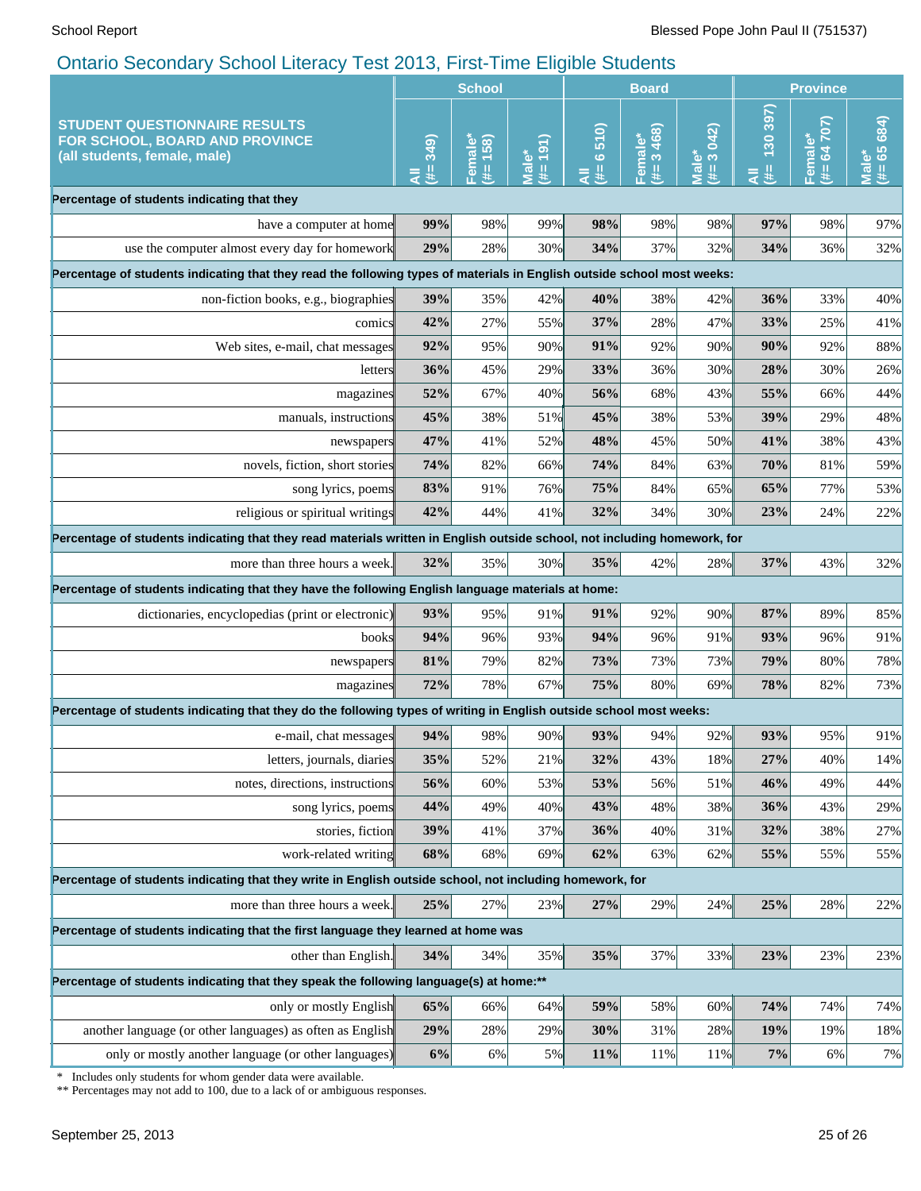|                                                                                                                                                 | <b>School</b>  |                      |                           | <b>Board</b>   |                      |                     | <b>Province</b>   |                                     |                                    |
|-------------------------------------------------------------------------------------------------------------------------------------------------|----------------|----------------------|---------------------------|----------------|----------------------|---------------------|-------------------|-------------------------------------|------------------------------------|
| <b>STUDENT QUESTIONNAIRE RESULTS</b><br>FOR SCHOOL, BOARD AND PROVINCE<br>(all students, female, male)                                          | 349)<br>₩<br>₹ | (38)<br>Female®<br>辈 | 191)<br>$M$ ale $*$<br>y. | 6510<br>里<br>₹ | 3468)<br>Femal<br>y. | Male*<br>(#= 3 042) | 130 397<br>#<br>₹ | 64 707)<br>Female*<br>$\frac{1}{2}$ | 684)<br>$(# = 65)$<br><b>Male*</b> |
| Percentage of students indicating that they                                                                                                     |                |                      |                           |                |                      |                     |                   |                                     |                                    |
| have a computer at home                                                                                                                         | 99%            | 98%                  | 99%                       | 98%            | 98%                  | 98%                 | 97%               | 98%                                 | 97%                                |
| use the computer almost every day for homework                                                                                                  | 29%            | 28%                  | 30%                       | 34%            | 37%                  | 32%                 | 34%               | 36%                                 | 32%                                |
| Percentage of students indicating that they read the following types of materials in English outside school most weeks:                         |                |                      |                           |                |                      |                     |                   |                                     |                                    |
| non-fiction books, e.g., biographies                                                                                                            | 39%            | 35%                  | 42%                       | 40%            | 38%                  | 42%                 | 36%               | 33%                                 | 40%                                |
| comics                                                                                                                                          | 42%            | 27%                  | 55%                       | 37%            | 28%                  | 47%                 | 33%               | 25%                                 | 41%                                |
| Web sites, e-mail, chat messages                                                                                                                | 92%            | 95%                  | 90%                       | 91%            | 92%                  | 90%                 | 90%               | 92%                                 | 88%                                |
| letters                                                                                                                                         | 36%            | 45%                  | 29%                       | 33%            | 36%                  | 30%                 | 28%               | 30%                                 | 26%                                |
| magazines                                                                                                                                       | 52%            | 67%                  | 40%                       | 56%            | 68%                  | 43%                 | 55%               | 66%                                 | 44%                                |
| manuals, instructions                                                                                                                           | 45%            | 38%                  | 51%                       | 45%            | 38%                  | 53%                 | 39%               | 29%                                 | 48%                                |
| newspapers                                                                                                                                      | 47%            | 41%                  | 52%                       | 48%            | 45%                  | 50%                 | 41%               | 38%                                 | 43%                                |
| novels, fiction, short stories                                                                                                                  | 74%            | 82%                  | 66%                       | 74%            | 84%                  | 63%                 | 70%               | 81%                                 | 59%                                |
| song lyrics, poems                                                                                                                              | 83%            | 91%                  | 76%                       | 75%            | 84%                  | 65%                 | 65%               | 77%                                 | 53%                                |
| religious or spiritual writings                                                                                                                 | 42%            | 44%                  | 41%                       | 32%            | 34%                  | $30\%$              | 23%               | 24%                                 | 22%                                |
| Percentage of students indicating that they read materials written in English outside school, not including homework, for                       |                |                      |                           |                |                      |                     |                   |                                     |                                    |
| more than three hours a week.                                                                                                                   | 32%            | 35%                  | 30%                       | 35%            | 42%                  | 28%                 | 37%               | 43%                                 | 32%                                |
| Percentage of students indicating that they have the following English language materials at home:                                              |                |                      |                           |                |                      |                     |                   |                                     |                                    |
| dictionaries, encyclopedias (print or electronic)                                                                                               | 93%            | 95%                  | 91%                       | 91%            | 92%                  | 90%                 | 87%               | 89%                                 | 85%                                |
| books                                                                                                                                           | 94%            | 96%                  | 93%                       | 94%            | 96%                  | 91%                 | 93%               | 96%                                 | 91%                                |
| newspapers                                                                                                                                      | 81%            | 79%                  | 82%                       | 73%            | 73%                  | 73%                 | 79%               | 80%                                 | 78%                                |
| magazines                                                                                                                                       | 72%            | 78%                  | 67%                       | 75%            | 80%                  | 69%                 | 78%               | 82%                                 | 73%                                |
| Percentage of students indicating that they do the following types of writing in English outside school most weeks:                             |                |                      |                           |                |                      |                     |                   |                                     |                                    |
| e-mail, chat messages                                                                                                                           | 94%            | 98%                  | 90%                       | 93%            | 94%                  | 92%                 | 93%               | 95%                                 | 91%                                |
| letters, journals, diaries                                                                                                                      | 35%            | 52%                  | 21%                       | 32%            | 43%                  | 18%                 | 27%               | 40%                                 | 14%                                |
| notes, directions, instructions                                                                                                                 | 56%            | 60%                  | 53%                       | 53%            | 56%                  | 51%                 | 46%               | 49%                                 | 44%                                |
| song lyrics, poems                                                                                                                              | 44%            | 49%                  | 40%                       | 43%            | 48%                  | 38%                 | 36%               | 43%                                 | 29%                                |
| stories, fiction                                                                                                                                | 39%            | 41%                  | 37%                       | 36%            | 40%                  | 31%                 | 32%               | 38%                                 | 27%                                |
| work-related writing                                                                                                                            | 68%            | 68%                  | 69%                       | 62%            | 63%                  | 62%                 | 55%               | 55%                                 | 55%                                |
| Percentage of students indicating that they write in English outside school, not including homework, for                                        |                |                      |                           |                |                      |                     |                   |                                     |                                    |
| more than three hours a week.                                                                                                                   | 25%            | 27%                  | 23%                       | 27%            | 29%                  | 24%                 | 25%               | 28%                                 | 22%                                |
| Percentage of students indicating that the first language they learned at home was                                                              |                |                      |                           |                |                      |                     |                   |                                     |                                    |
| other than English.                                                                                                                             | 34%            | 34%                  | 35%                       | 35%            | 37%                  | 33%                 | 23%               | 23%                                 | 23%                                |
| Percentage of students indicating that they speak the following language(s) at home:**                                                          |                |                      |                           |                |                      |                     |                   |                                     |                                    |
| only or mostly English                                                                                                                          | 65%            | 66%                  | 64%                       | 59%            | 58%                  | 60%                 | 74%               | 74%                                 | 74%                                |
| another language (or other languages) as often as English                                                                                       | 29%            | 28%                  | 29%                       | 30%            | 31%                  | 28%                 | 19%               | 19%                                 | 18%                                |
| only or mostly another language (or other languages)                                                                                            | 6%             | 6%                   | $5\%$                     | 11%            | 11%                  | 11%                 | 7%                | 6%                                  | 7%                                 |
| Includes only students for whom gender data were available.<br>∗<br>** Percentages may not add to 100, due to a lack of or ambiguous responses. |                |                      |                           |                |                      |                     |                   |                                     |                                    |